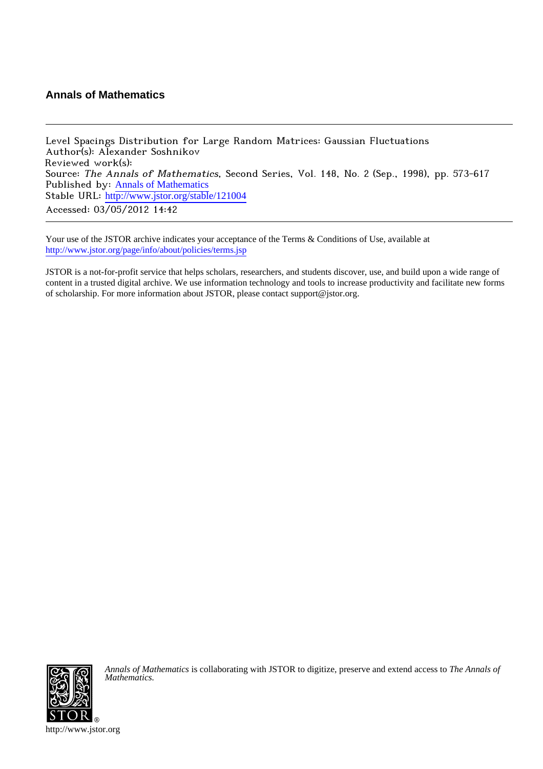## **Annals of Mathematics**

Level Spacings Distribution for Large Random Matrices: Gaussian Fluctuations Author(s): Alexander Soshnikov Reviewed work(s): Source: The Annals of Mathematics, Second Series, Vol. 148, No. 2 (Sep., 1998), pp. 573-617 Published by: [Annals of Mathematics](http://www.jstor.org/action/showPublisher?publisherCode=annals) Stable URL: http://www.jstor.org/stable/121004 Accessed: 03/05/2012 14:42

Your use of the JSTOR archive indicates your acceptance of the Terms & Conditions of Use, available at <http://www.jstor.org/page/info/about/policies/terms.jsp>

JSTOR is a not-for-profit service that helps scholars, researchers, and students discover, use, and build upon a wide range of content in a trusted digital archive. We use information technology and tools to increase productivity and facilitate new forms of scholarship. For more information about JSTOR, please contact support@jstor.org.



*Annals of Mathematics* is collaborating with JSTOR to digitize, preserve and extend access to *The Annals of Mathematics.*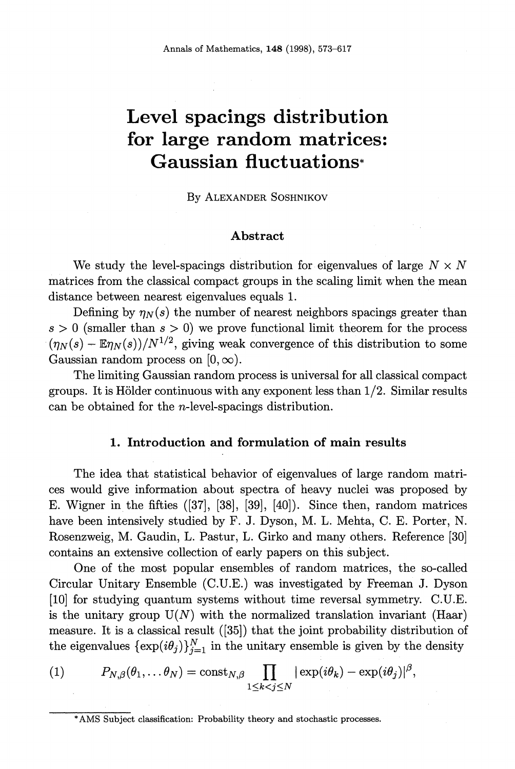# **Level spacings distribution for large random matrices: Gaussian fluctuations\***

**BY ALEXANDER SOSHNIKOV** 

#### **Abstract**

We study the level-spacings distribution for eigenvalues of large  $N \times N$ **matrices from the classical compact groups in the scaling limit when the mean distance between nearest eigenvalues equals 1.** 

Defining by  $\eta_N(s)$  the number of nearest neighbors spacings greater than  $s > 0$  (smaller than  $s > 0$ ) we prove functional limit theorem for the process  $(\eta_N(s)-\mathbb{E}\eta_N(s))/N^{1/2}$ , giving weak convergence of this distribution to some Gaussian random process on  $[0, \infty)$ .

**The limiting Gaussian random process is universal for all classical compact groups. It is Holder continuous with any exponent less than 1/2. Similar results can be obtained for the n-level-spacings distribution.** 

#### 1. Introduction and formulation of main results

**The idea that statistical behavior of eigenvalues of large random matrices would give information about spectra of heavy nuclei was proposed by E. Wigner in the fifties ([37], [38], [39], [40]). Since then, random matrices have been intensively studied by F. J. Dyson, M. L. Mehta, C. E. Porter, N. Rosenzweig, M. Gaudin, L. Pastur, L. Girko and many others. Reference [30] contains an extensive collection of early papers on this subject.** 

**One of the most popular ensembles of random matrices, the so-called Circular Unitary Ensemble (C.U.E.) was investigated by Fieeman J. Dyson [10] for studying quantum systems without time reversal symmetry. C.U.E.**  is the unitary group  $U(N)$  with the normalized translation invariant (Haar) **measure. It is a classical result ([35]) that the joint probability distribution of**  the eigenvalues  $\{\exp(i\theta_j)\}_{j=1}^N$  in the unitary ensemble is given by the density

(1) 
$$
P_{N,\beta}(\theta_1,\ldots\theta_N)=\mathrm{const}_{N,\beta}\prod_{1\leq k
$$

**<sup>\*</sup>AMS Subject classification: Probability theory and stochastic processes.**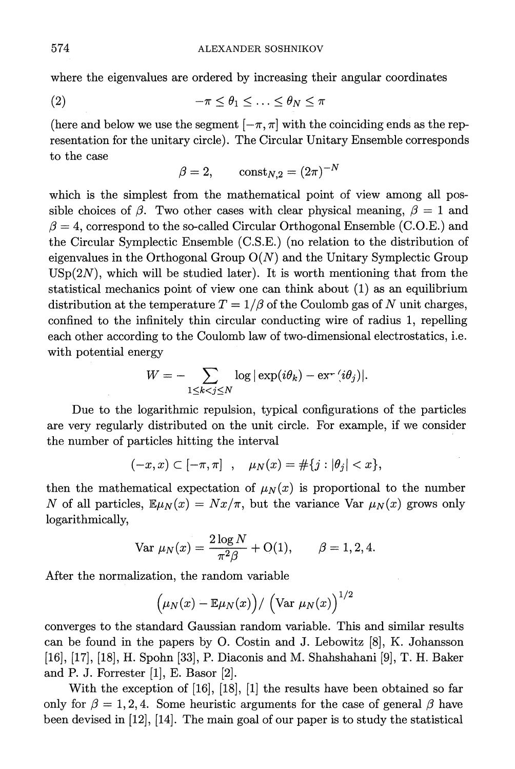**where the eigenvalues are ordered by increasing their angular coordinates** 

$$
(2) \qquad \qquad -\pi \leq \theta_1 \leq \ldots \leq \theta_N \leq \pi
$$

(here and below we use the segment  $[-\pi, \pi]$  with the coinciding ends as the rep**resentation for the unitary circle). The Circular Unitary Ensemble corresponds to the case**   $\ddot{\phantom{a}}$ 

$$
\beta = 2, \qquad \text{const}_{N,2} = (2\pi)^{-N}
$$

which is the simplest from the mathematical point of view among all possible choices of  $\beta$ . Two other cases with clear physical meaning,  $\beta = 1$  and  $\beta = 4$ , correspond to the so-called Circular Orthogonal Ensemble (C.O.E.) and **the Circular Symplectic Ensemble (C.S.E.) (no relation to the distribution of eigenvalues in the Orthogonal Group O(N) and the Unitary Symplectic Group**   $USp(2N)$ , which will be studied later). It is worth mentioning that from the **statistical mechanics point of view one can think about (1) as an equilibrium**  distribution at the temperature  $T = 1/\beta$  of the Coulomb gas of N unit charges, **confined to the infinitely thin circular conducting wire of radius 1, repelling each other according to the Coulomb law of two-dimensional electrostatics, i.e. with potential energy** 

$$
W = -\sum_{1 \leq k < j \leq N} \log |\exp(i\theta_k) - \mathrm{ex}^{1-\epsilon}(i\theta_j)|.
$$

**Due to the logarithmic repulsion, typical configurations of the particles are very regularly distributed on the unit circle. For example, if we consider the number of particles hitting the interval** 

$$
(-x, x) \subset [-\pi, \pi]
$$
,  $\mu_N(x) = #\{j : |\theta_j| < x\},$ 

then the mathematical expectation of  $\mu_N(x)$  is proportional to the number N of all particles,  $\mathbb{E}\mu_N(x) = Nx/\pi$ , but the variance Var  $\mu_N(x)$  grows only **logarithmically,** 

$$
\text{Var } \mu_N(x) = \frac{2 \log N}{\pi^2 \beta} + \text{O}(1), \qquad \beta = 1, 2, 4.
$$

**After the normalization, the random variable** 

$$
\left(\mu_N(x)-\mathbb{E}\mu_N(x)\right)/\left(\text{Var }\mu_N(x)\right)^{1/2}
$$

**conrrerges to the standard Gaussian random variable. This and similar results can be found in the papers by O. Costin and J. Lebowitz [8], K. Johansson [16], [17], [18], H. Spohn [33], P. Diaconis and M. Shahshahani [9], T. H. Baker and P. J. Forrester [1], E. Basor [2].** 

**With the exception of [16], [18], [1] the results have been obtained so far**  only for  $\beta = 1, 2, 4$ . Some heuristic arguments for the case of general  $\beta$  have **been devised in [12], [14]. The main goal of our paper is to study the statistical**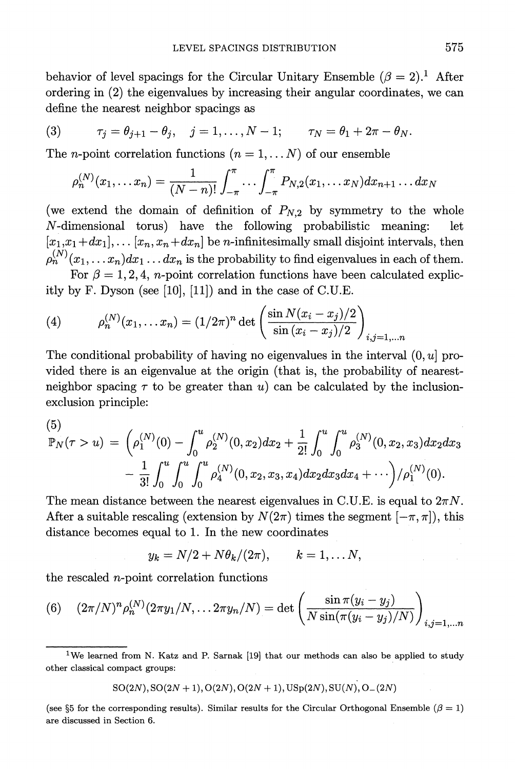behavior of level spacings for the Circular Unitary Ensemble  $(\beta = 2)$ .<sup>1</sup> After **ordering in (2) the eigenvalues by increasing their angular coordinates, we can define the nearest neighbor spacings as** 

(3) 
$$
\tau_j = \theta_{j+1} - \theta_j, \quad j = 1, ..., N-1; \quad \tau_N = \theta_1 + 2\pi - \theta_N.
$$

The *n*-point correlation functions  $(n = 1, \ldots N)$  of our ensemble

$$
\rho_n^{(N)}(x_1,\ldots x_n) = \frac{1}{(N-n)!} \int_{-\pi}^{\pi} \ldots \int_{-\pi}^{\pi} P_{N,2}(x_1,\ldots x_N) dx_{n+1} \ldots dx_N
$$

(we extend the domain of definition of  $P_{N,2}$  by symmetry to the whole **N-dimensional torus) have the following probabilistic meaning: let**   $[x_1, x_1 + dx_1], \ldots, [x_n, x_n + dx_n]$  be *n*-infinitesimally small disjoint intervals, then  $p_n^{(N)}(x_1, \ldots, x_n)dx_1 \ldots dx_n$  is the probability to find eigenvalues in each of them.

For  $\beta = 1, 2, 4, n$ -point correlation functions have been calculated explic**itly by F. Dyson (see [10], [11]) and in the case of C.U.E.** 

(4) 
$$
\rho_n^{(N)}(x_1,...x_n) = (1/2\pi)^n \det \left( \frac{\sin N(x_i - x_j)/2}{\sin (x_i - x_j)/2} \right)_{i,j=1,...n}
$$

**The conditional probability of having no eigenvalues in the interval (O, u] provided there is an eigenvalue at the origin (that is, the probability of nearest**neighbor spacing  $\tau$  to be greater than u) can be calculated by the inclusion**exclusion principle:** 

(5)  
\n
$$
\mathbb{P}_N(\tau > u) = \left( \rho_1^{(N)}(0) - \int_0^u \rho_2^{(N)}(0, x_2) dx_2 + \frac{1}{2!} \int_0^u \int_0^u \rho_3^{(N)}(0, x_2, x_3) dx_2 dx_3 - \frac{1}{3!} \int_0^u \int_0^u \rho_4^{(N)}(0, x_2, x_3, x_4) dx_2 dx_3 dx_4 + \cdots \right) / \rho_1^{(N)}(0).
$$

The mean distance between the nearest eigenvalues in C.U.E. is equal to  $2\pi N$ . After a suitable rescaling (extension by  $N(2\pi)$  times the segment  $[-\pi, \pi]$ ), this **distance becomes equal to 1. In the new coordinates** 

$$
y_k = N/2 + N\theta_k/(2\pi), \qquad k = 1, \ldots N,
$$

**the rescaled n-point correlation functions** 

(6) 
$$
(2\pi/N)^n \rho_n^{(N)}(2\pi y_1/N, \dots 2\pi y_n/N) = \det \left( \frac{\sin \pi (y_i - y_j)}{N \sin(\pi (y_i - y_j)/N)} \right)_{i,j=1,\dots n}
$$

 $SO(2N), SO(2N + 1), O(2N), O(2N + 1), USp(2N), SU(N), O_-(2N)$ 

(see §5 for the corresponding results). Similar results for the Circular Orthogonal Ensemble ( $\beta=1$ ) **are discussed in Section 6.** 

**<sup>1</sup>We learned from N. Katz and P. Sarnak [19] that our methods can also be applied to study other classical compact groups:**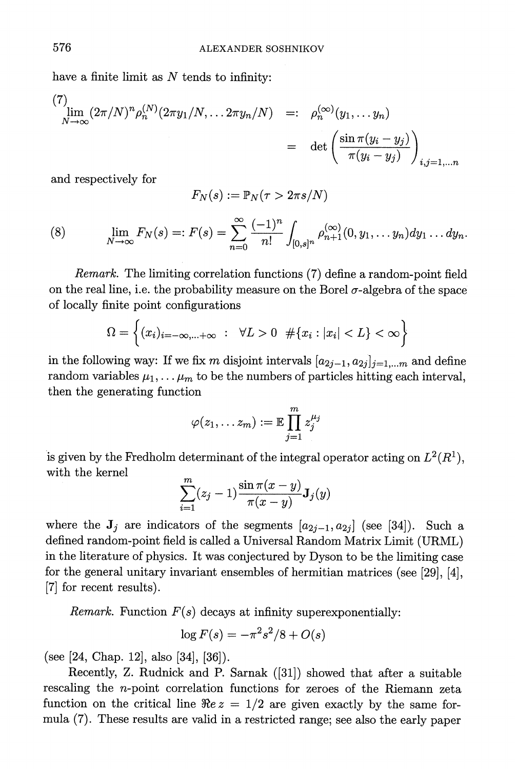**have a finite limit as N tends to infinity:** 

$$
\lim_{N \to \infty} (2\pi/N)^n \rho_n^{(N)} (2\pi y_1/N, \dots 2\pi y_n/N) =: \rho_n^{(\infty)} (y_1, \dots y_n)
$$
  
= det  $\left( \frac{\sin \pi (y_i - y_j)}{\pi (y_i - y_j)} \right)_{i,j=1,\dots n}$ 

**and respectively for** 

$$
F_N(s):=\mathbb{P}_N(\tau>2\pi s/N)
$$

(8) 
$$
\lim_{N \to \infty} F_N(s) =: F(s) = \sum_{n=0}^{\infty} \frac{(-1)^n}{n!} \int_{[0,s]^n} \rho_{n+1}^{(\infty)}(0, y_1, \dots y_n) dy_1 \dots dy_n.
$$

**Remark. The limiting correlation functions (7) define a random-point field**  on the real line, i.e. the probability measure on the Borel  $\sigma$ -algebra of the space **of locally finite point configurations** 

$$
\Omega = \left\{ (x_i)_{i=-\infty,...+\infty} : \forall L > 0 \ \# \{x_i : |x_i| < L \} < \infty \right\}
$$

in the following way: If we fix m disjoint intervals  $[a_{2j-1}, a_{2j}]_{j=1,...m}$  and define random variables  $\mu_1, \ldots, \mu_m$  to be the numbers of particles hitting each interval, **then the generating function** 

$$
\varphi(z_1,\ldots z_m):=\mathbb{E}\prod_{j=1}^m z_j^{\mu_j}
$$

is given by the Fredholm determinant of the integral operator acting on  $L^2(R^1)$ , with the kernel  $\sum_{m=1}^{m} (x-1)^{\sin \pi (x-y)}$  **J**<sub> $\left(\alpha\right)$ </sub>

$$
\sum_{i=1}^m (z_j-1) \frac{\sin \pi (x-y)}{\pi (x-y)} \mathbf{J}_j(y)
$$

where the  $\mathbf{J}_j$  are indicators of the segments  $[a_{2j-1},a_{2j}]$  (see [34]). Such a **defined random-point field is called a Universal Random Matrix Limit (URML) in the literature of physics. It was conjectured by Dyson to be the limiting case for the general unitary invariant ensembles of hermitian matrices (see [29], [4], [7] for recent results).** 

*Remark.* Function  $F(s)$  decays at infinity superexponentially:

$$
\log F(s) = -\pi^2 s^2/8 + O(s)
$$

**(see [24, Chap. 12], also [34], [36]).** 

**Recently, Z. Rodnick and P. Sarnak ([31]) showed that after a suitable rescaling the n-point correlation functions for zeroes of the Riemann zeta**  function on the critical line  $\Re e z = 1/2$  are given exactly by the same for**mula (7). These results are valid in a restricted range; see also the early paper** 

 $\sim$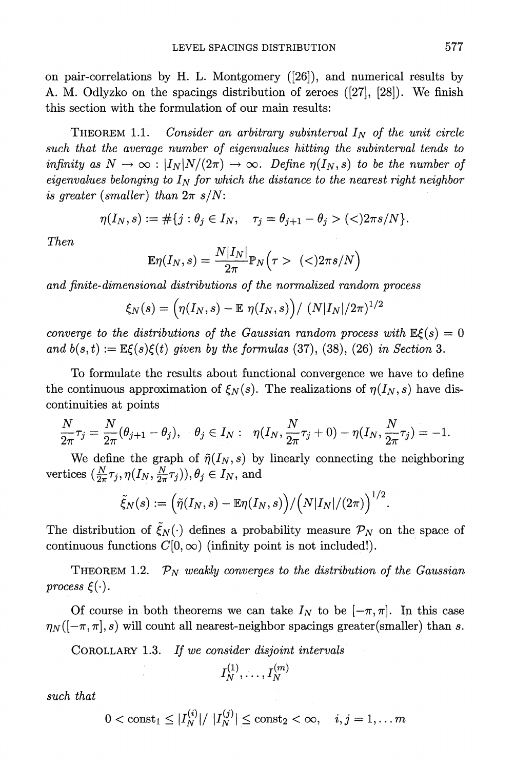**on pair-correlations by H. L. Montgomery ([26]), and numerical results by A. M. Odlyzko on the spacings distribution of zeroes ([27], [28]). We finish this section with the formulation of our main results:** 

**THEOREM 1.1.** Consider an arbitrary subinterval I<sub>N</sub> of the unit circle **such that the average number of eigenvalues hitting the subinterval tends to infinity** as  $N \to \infty$ :  $|I_N|N/(2\pi) \to \infty$ . Define  $\eta(I_N, s)$  to be the number of  $eigenvalues belonging to  $I_N$  for which the distance to the nearest right neighbor$ is greater (smaller) than  $2\pi s/N$ :

$$
\eta(I_N, s) := \#\{j : \theta_j \in I_N, \quad \tau_j = \theta_{j+1} - \theta_j > \text{(*)}\},
$$

**Then** 

$$
\mathbb{E}\eta(I_N,s)=\frac{N|I_N|}{2\pi}\mathbb{P}_N\Big(\tau>\ (\texttt{<})2\pi s/N\Big)
$$

**and finite-dimensional distributions of the normalized random process** 

$$
\xi_N(s) = \left(\eta(I_N, s) - \mathbb{E} \eta(I_N, s)\right) / \left(N|I_N|/2\pi\right)^{1/2}
$$

converge to the distributions of the Gaussian random process with  $\mathbb{E}\xi(s) = 0$ and  $b(s,t) := \mathbb{E}\xi(s)\xi(t)$  given by the formulas (37), (38), (26) in Section 3.

**To formulate the results about functional convergence we have to define**  the continuous approximation of  $\xi_N(s)$ . The realizations of  $\eta(I_N, s)$  have dis**continuities at points** 

$$
\frac{N}{2\pi}\tau_j = \frac{N}{2\pi}(\theta_{j+1} - \theta_j), \quad \theta_j \in I_N: \quad \eta(I_N, \frac{N}{2\pi}\tau_j + 0) - \eta(I_N, \frac{N}{2\pi}\tau_j) = -1.
$$

We define the graph of  $\tilde{\eta}(I_N, s)$  by linearly connecting the neighboring vertices  $\left(\frac{N}{2\pi}\tau_j,\eta(I_N,\frac{N}{2\pi}\tau_j)\right),\theta_j\in I_N$ , and

$$
\tilde{\xi}_N(s):=\Big(\tilde{\eta}(I_N,s)-\mathbb{E}\eta(I_N,s)\Big)/\Big(N|I_N|/(2\pi)\Big)^{1/2}.
$$

The distribution of  $\tilde{\xi}_N(\cdot)$  defines a probability measure  $\mathcal{P}_N$  on the space of continuous functions  $C[0,\infty)$  (infinity point is not included!).

**THEOREM 1.2.**  $\mathcal{P}_N$  weakly converges to the distribution of the Gaussian process  $\xi(\cdot)$ .

Of course in both theorems we can take  $I_N$  to be  $[-\pi, \pi]$ . In this case  $\eta_N([-\pi,\pi],s)$  will count all nearest-neighbor spacings greater(smaller) than s.

**COROLLARY 1.3. If we consider disjoint intervals** 

$$
I_N^{(1)},\ldots,I_N^{(m)}
$$

**such that** 

 $0 < \text{const}_1 \leq |I_N^{(i)}|/|I_N^{(j)}| \leq \text{const}_2 < \infty, \quad i, j = 1, \dots m$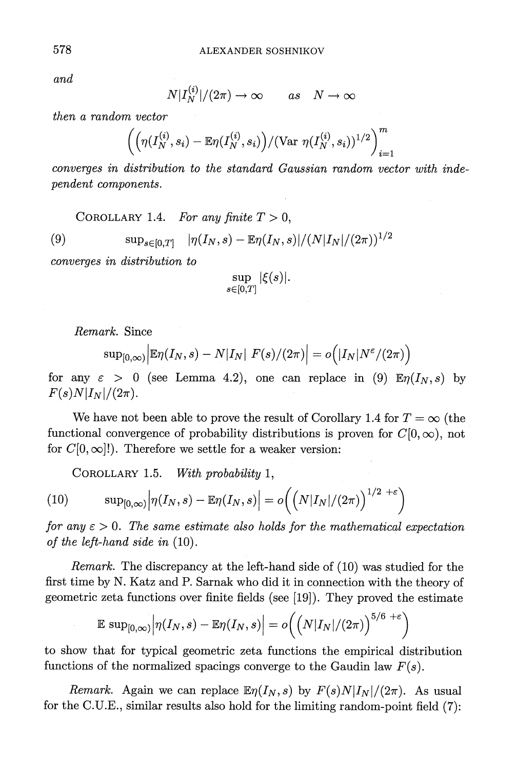**and** 

$$
N|I_N^{(i)}|/(2\pi) \to \infty \qquad as \quad N \to \infty
$$

**then a random vector** 

$$
\left(\Big(\eta(I_N^{(i)},s_i) - \mathbb{E} \eta(I_N^{(i)},s_i)\Big) / (\text{Var} \,\, \eta(I_N^{(i)},s_i))^{1/2} \right)_{i=1}^m
$$

**converges in distribution to the standard Gaussian random vector with independent components.** 

COROLLARY 1.4. For any finite  $T > 0$ ,

(9)  $\sup_{s \in [0,T]} |\eta(I_N, s) - \mathbb{E}\eta(I_N, s)|/(N|I_N|/(2\pi))^{1/2}$ 

**converges in distribution to** 

$$
\sup_{s\in[0,T]}|\xi(s)|.
$$

**Remark. Since** 

$$
\text{sup}_{[0,\infty)}\Big|\mathbb{E}\eta(I_N,s)-N|I_N|\big|F(s)/(2\pi)\Big|=o\Big(|I_N|N^{\varepsilon}/(2\pi)\Big)
$$

for any  $\varepsilon > 0$  (see Lemma 4.2), one can replace in (9)  $\mathbb{E} \eta(I_N, s)$  by  $F(s)N|I_N|/(2\pi)$ .

We have not been able to prove the result of Corollary 1.4 for  $T = \infty$  (the functional convergence of probability distributions is proven for  $C[0,\infty)$ , not for  $C[0,\infty]$ !). Therefore we settle for a weaker version:

**COROLLARY 1.5. With probability 1,** 

(10) 
$$
\sup_{[0,\infty)} \Big| \eta(I_N,s) - \mathbb{E}\eta(I_N,s) \Big| = o\Big(\Big(N|I_N|/(2\pi)\Big)^{1/2+\epsilon}\Big)
$$

for any  $\epsilon > 0$ . The same estimate also holds for the mathematical expectation **of the left-hand side in (10).** 

**Remark. The discrepancy at the left-hand side of (10) was studied for the first time by N. Katz and P. Sarnak who did it in connection with the theory of geometric zeta functions over finite fields (see [19]). They proved the estimate** 

$$
\mathbb{E}\sup_{[0,\infty)}\Big|\eta(I_N,s)-\mathbb{E}\eta(I_N,s)\Big|=o\Big(\Big(N|I_N|/(2\pi)\Big)^{5/6+\varepsilon}\Big)
$$

**to show that for typical geometric zeta functions the empirical distribution**  functions of the normalized spacings converge to the Gaudin law  $F(s)$ .

*Remark.* Again we can replace  $\mathbb{E} \eta(I_N, s)$  by  $F(s)N|I_N|/(2\pi)$ . As usual **for the C.U.E., similar results also hold for the limiting random-point field (7):**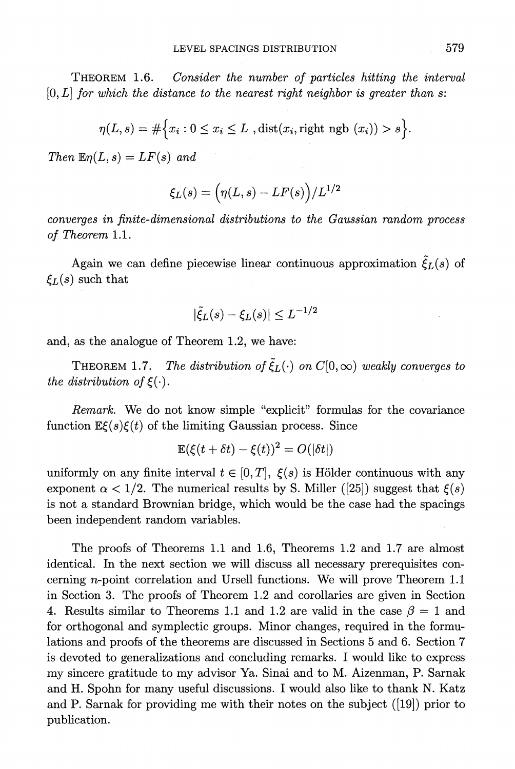**THEOREM 1.6. Consider the number of particles hitting the interval [0, L] for which the distance to the nearest right neighbor is greater than s:** 

$$
\eta(L,s) = \#\Big\{x_i : 0 \le x_i \le L \text{ ,dist}(x_i,\text{right ngb }(x_i)) > s\Big\}.
$$

 $Then \mathbb{E} \eta(L, s) = LF(s)$  and

$$
\xi_L(s)=\Big(\eta(L,s)-LF(s)\Big)/L^{1/2}
$$

**converges in finite-dimensional distributions to the Gaussian random process of Theorem 1.1.** 

Again we can define piecewise linear continuous approximation  $\tilde{\xi}_L(s)$  of  $\xi_L(s)$  such that

$$
|\tilde{\xi}_L(s) - \xi_L(s)| \leq L^{-1/2}
$$

**and, as the analogue of Theorem 1.2, we have:** 

**THEOREM 1.7.** The distribution of  $\tilde{\xi}_L(\cdot)$  on  $C[0,\infty)$  weakly converges to the distribution of  $\xi(\cdot)$ .

**Remark. We do not know simple "explicit" formulas for the covariance**  function  $\mathbb{E}\xi(s)\xi(t)$  of the limiting Gaussian process. Since

$$
\mathbb{E}(\xi(t+\delta t)-\xi(t))^2=O(|\delta t|)
$$

uniformly on any finite interval  $t \in [0, T]$ ,  $\xi(s)$  is Hölder continuous with any exponent  $\alpha < 1/2$ . The numerical results by S. Miller ([25]) suggest that  $\xi(s)$ **is not a standard Brownian bridge, which would be the case had the spacings been independent random variables.** 

**The proofs of Theorems 1.1 and 1.6, Theorems 1.2 and 1.7 are almost identical. In the next section we will discuss all necessary prerequisites concerning n-point correlation and Ursell functions. We will prove Theorem 1.1 in Section 3. The proofs of Theorem 1.2 and corollaries are given in Section**  4. Results similar to Theorems 1.1 and 1.2 are valid in the case  $\beta = 1$  and **for orthogonal and symplectic groups. Minor changes, required in the formulations and proofs of the theorems are discussed in Sections 5 and 6. Section 7 is devoted to generalizations and concluding remarks. I would like to express**  my sincere gratitude to my advisor Ya. Sinai and to M. Aizenman, P. Sarnak **and H. Spohn for many useful discussions. I would also like to thank N. Katz and P. Sarnak for providing me with their notes on the subject ([19]) prior to publication.**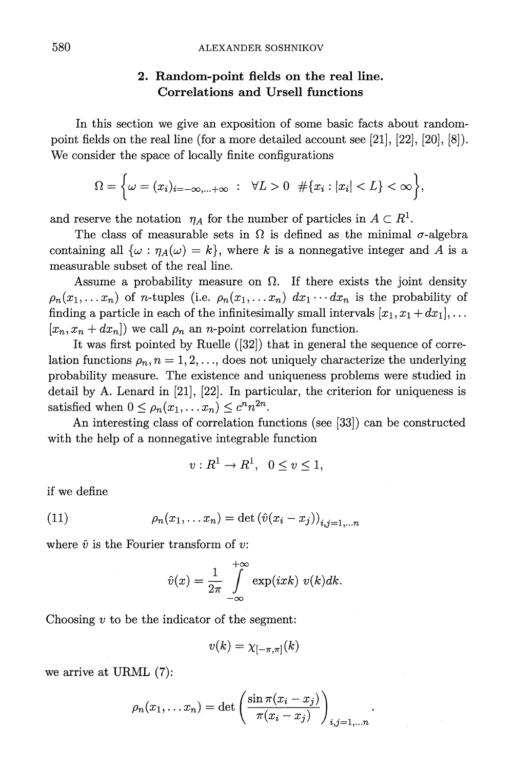### **2. Random-point fields on the real line. Correlations and Ursell functions**

**In this section we give an exposition of some basic facts about randompoint fields on the real line (for a more detailed account see [21], [22], [20], [8]). We consider the space of locally finite configurations** 

$$
\Omega = \bigg\{\omega = (x_i)_{i=-\infty,\dots+\infty} : \forall L > 0 \quad \#\{x_i : |x_i| < L\} < \infty\bigg\},
$$

and reserve the notation  $\eta_A$  for the number of particles in  $A \subset R^1$ .

The class of measurable sets in  $\Omega$  is defined as the minimal  $\sigma$ -algebra containing all  $\{\omega : \eta_A(\omega) = k\}$ , where k is a nonnegative integer and A is a **measurable subset of the real line.** 

Assume a probability measure on  $\Omega$ . If there exists the joint density  $p_n(x_1,...,x_n)$  of *n*-tuples (i.e.  $p_n(x_1,...,x_n) dx_1...dx_n$  is the probability of finding a particle in each of the infinitesimally small intervals  $[x_1, x_1 + dx_1], \ldots$  $[x_n, x_n + dx_n]$  we call  $\rho_n$  an *n*-point correlation function.

**It was first pointed by Ruelle ([32]) that in general the sequence of corre**lation functions  $\rho_n$ ,  $n = 1, 2, \ldots$ , does not uniquely characterize the underlying **probability measure. The existence and uniqueness problems were studied in detail by A. Lenard in [21], [22]. In particular, the criterion for uniqueness is**  satisfied when  $0 \leq \rho_n(x_1, \ldots, x_n) \leq c^n n^{2n}$ .

**An interesting class of correlation functions (see [33]) can be constructed with the help of a nonnegative integrable function** 

$$
v: R^1 \to R^1, \ \ 0 \le v \le 1,
$$

**if we define** 

$$
(11) \qquad \rho_n(x_1,\ldots x_n) = \det \left(\hat{v}(x_i - x_j)\right)_{i,j=1,\ldots n}
$$

where  $\hat{v}$  is the Fourier transform of  $v$ :

$$
\hat{v}(x) = \frac{1}{2\pi} \int_{-\infty}^{+\infty} \exp(ixk) \ v(k)dk.
$$

**Choosing v to be the indicator of the segment:** 

$$
v(k)=\chi_{[-\pi,\pi]}(k)
$$

**we arrive at URML (7):** 

$$
\rho_n(x_1,\ldots x_n)=\det\left(\frac{\sin\pi (x_i-x_j)}{\pi (x_i-x_j)}\right)_{i,j=1,\ldots n}
$$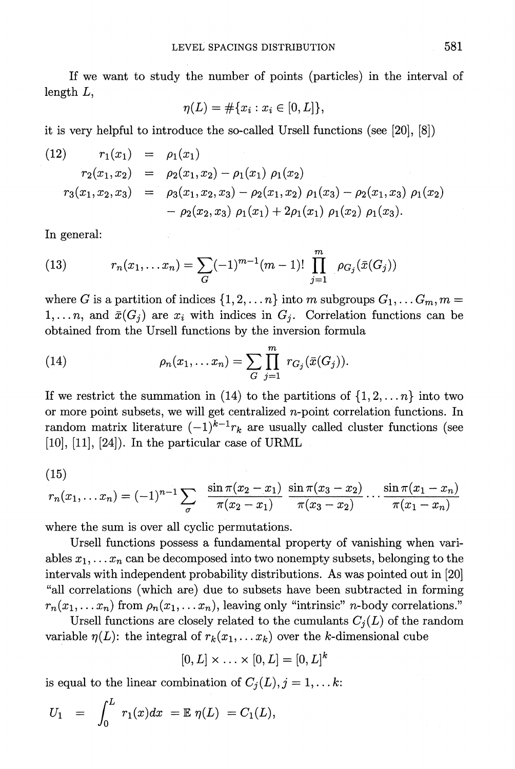**If we want to study the number of points (particles) in the interval of length L,** 

$$
\eta(L) = \#\{x_i : x_i \in [0, L]\},\
$$

**it is very helpful to introduce the so-called Ursell functions (see [20], [8])** 

(12) 
$$
r_1(x_1) = \rho_1(x_1)
$$
  
\n $r_2(x_1, x_2) = \rho_2(x_1, x_2) - \rho_1(x_1) \rho_1(x_2)$   
\n $r_3(x_1, x_2, x_3) = \rho_3(x_1, x_2, x_3) - \rho_2(x_1, x_2) \rho_1(x_3) - \rho_2(x_1, x_3) \rho_1(x_2)$   
\n $- \rho_2(x_2, x_3) \rho_1(x_1) + 2\rho_1(x_1) \rho_1(x_2) \rho_1(x_3).$ 

**In general:** 

(13) 
$$
r_n(x_1,...x_n) = \sum_G (-1)^{m-1} (m-1)! \prod_{j=1}^m \rho_{G_j}(\bar{x}(G_j))
$$

where G is a partition of indices  $\{1, 2, \ldots n\}$  into m subgroups  $G_1, \ldots G_m, m =$ 1,... *n*, and  $\bar{x}(G_i)$  are  $x_i$  with indices in  $G_i$ . Correlation functions can be **obtained from the Ursell functions by the inversion formula** 

(14) 
$$
\rho_n(x_1,... x_n) = \sum_{G} \prod_{j=1}^m r_{G_j}(\bar{x}(G_j)).
$$

If we restrict the summation in (14) to the partitions of  $\{1, 2, \ldots n\}$  into two **or more point subsets, we will get centralized n-point correlation functions. In**  random matrix literature  $(-1)^{k-1}r_k$  are usually called cluster functions (see **[10], [11], [24]). In the particular case of URML** 

$$
(15)
$$

$$
r_n(x_1,...x_n) = (-1)^{n-1} \sum_{\sigma} \frac{\sin \pi (x_2 - x_1)}{\pi (x_2 - x_1)} \frac{\sin \pi (x_3 - x_2)}{\pi (x_3 - x_2)} \cdots \frac{\sin \pi (x_1 - x_n)}{\pi (x_1 - x_n)}
$$

**where the sum is over all cyclic permutations.** 

**Ursell functions possess a fundamental property of vanishing when vari**ables  $x_1, \ldots, x_n$  can be decomposed into two nonempty subsets, belonging to the **intervals with independent probability distributions. As was pointed out in [20] "all correlations (which are) due to subsets have been subtracted in forming**   $r_n(x_1, \ldots, x_n)$  from  $\rho_n(x_1, \ldots, x_n)$ , leaving only "intrinsic" *n*-body correlations."

Ursell functions are closely related to the cumulants  $C_i(L)$  of the random variable  $\eta(L)$ : the integral of  $r_k(x_1, \ldots, x_k)$  over the k-dimensional cube

$$
[0,L]\times\ldots\times[0,L]=[0,L]^k
$$

is equal to the linear combination of  $C_j(L)$ ,  $j = 1, \ldots k$ :

$$
U_1 = \int_0^L r_1(x) dx = \mathbb{E} \eta(L) = C_1(L),
$$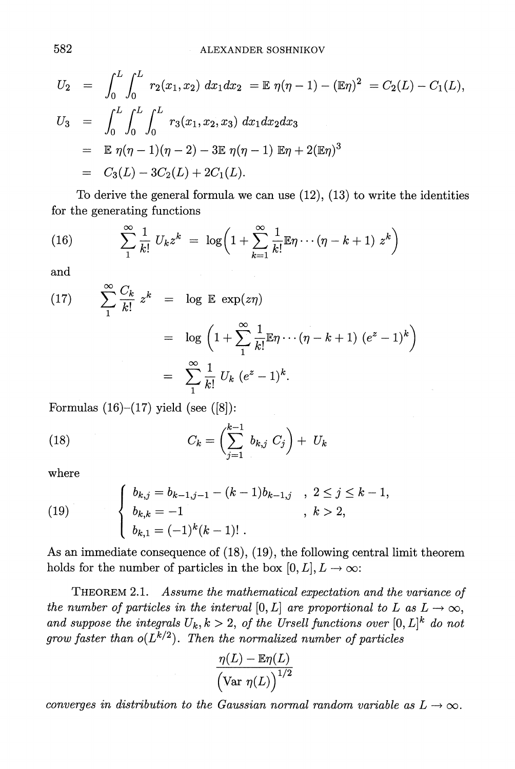$$
U_2 = \int_0^L \int_0^L r_2(x_1, x_2) dx_1 dx_2 = \mathbb{E} \eta(\eta - 1) - (\mathbb{E}\eta)^2 = C_2(L) - C_1(L),
$$
  
\n
$$
U_3 = \int_0^L \int_0^L \int_0^L r_3(x_1, x_2, x_3) dx_1 dx_2 dx_3
$$
  
\n
$$
= \mathbb{E} \eta(\eta - 1)(\eta - 2) - 3\mathbb{E} \eta(\eta - 1) \mathbb{E}\eta + 2(\mathbb{E}\eta)^3
$$
  
\n
$$
= C_3(L) - 3C_2(L) + 2C_1(L).
$$

**To derive the general formula we can use (12), (13) to write the identities for the generating functions** 

(16) 
$$
\sum_{1}^{\infty} \frac{1}{k!} U_k z^k = \log \left( 1 + \sum_{k=1}^{\infty} \frac{1}{k!} \mathbb{E} \eta \cdots (\eta - k + 1) z^k \right)
$$

**and** 

(17) 
$$
\sum_{1}^{\infty} \frac{C_k}{k!} z^k = \log \mathbb{E} \exp(z\eta)
$$

$$
= \log \left(1 + \sum_{1}^{\infty} \frac{1}{k!} \mathbb{E}\eta \cdots (\eta - k + 1) (e^z - 1)^k\right)
$$

$$
= \sum_{1}^{\infty} \frac{1}{k!} U_k (e^z - 1)^k.
$$

**Formulas (16)-(17) yield (see ([8]):** 

(18) 
$$
C_k = \left(\sum_{j=1}^{k-1} b_{k,j} C_j\right) + U_k
$$

**where** 

(19) 
$$
\begin{cases} b_{k,j} = b_{k-1,j-1} - (k-1)b_{k-1,j} & , 2 \le j \le k-1, \\ b_{k,k} = -1 & , k > 2, \\ b_{k,1} = (-1)^k (k-1)! \end{cases}
$$

**As an immediate consequence of (18), (19), the following central limit theorem**  holds for the number of particles in the box  $[0, L], L \rightarrow \infty$ :

**THEOREM 2.1.** Assume the mathematical expectation and the variance of the number of particles in the interval [0, L] are proportional to L as  $L \rightarrow \infty$ , and suppose the integrals  $U_k, k > 2$ , of the Ursell functions over  $[0, L]^k$  do not grow faster than  $o(L^{k/2})$ . Then the normalized number of particles

$$
\frac{\eta(L)-\mathbb{E} \eta(L)}{\Bigl(\text{Var} \ \eta(L)\Bigr)^{1/2}}
$$

converges in distribution to the Gaussian normal random variable as  $L \rightarrow \infty$ .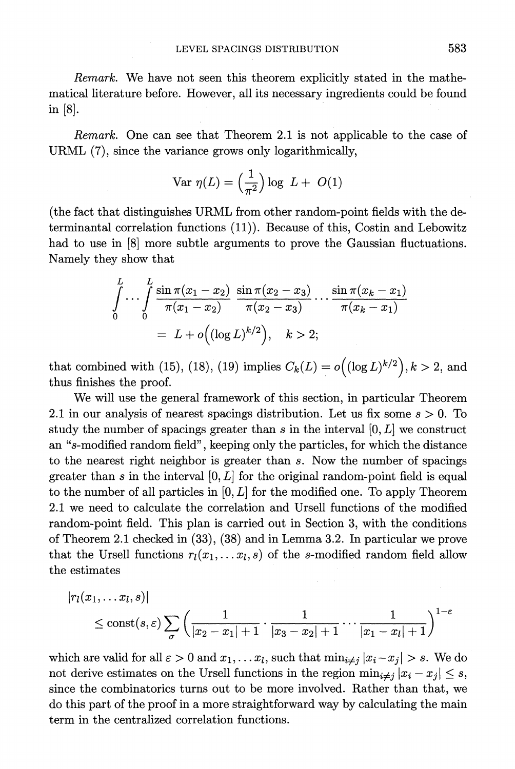**Remark. We have not seen this theorem explicitly stated in the mathematical literature before. However, all its necessary ingredients could be found in [8].** 

**Remark. One can see that Theorem 2.1 is not applicable to the case of URML (7), since the variance grows only logarithmically,** 

$$
\text{Var } \eta(L) = \left(\frac{1}{\pi^2}\right) \log \ L + \ O(1)
$$

**(the fact that distinguishes URML from other random-point fields with the determinantal correlation functions (11)). Because of this, Costin and Lebowitz had to use in [8] more subtle arguments to prove the Gaussian fluctuations. Namely they show that** 

$$
\int_{0}^{L} \cdots \int_{0}^{L} \frac{\sin \pi (x_1 - x_2)}{\pi (x_1 - x_2)} \frac{\sin \pi (x_2 - x_3)}{\pi (x_2 - x_3)} \cdots \frac{\sin \pi (x_k - x_1)}{\pi (x_k - x_1)}
$$
\n
$$
= L + o\Big( (\log L)^{k/2} \Big), \quad k > 2;
$$

**that combined with (15), (18), (19) implies**  $C_k(L) = o((\log L)^{k/2})$ **,**  $k > 2$ **, and thus finishes the proof.** 

**We will use the general framework of this section, in particular Theorem 2.1 in our analysis of nearest spacings distribution. Let us fix some s > 0. To**  study the number of spacings greater than s in the interval  $[0, L]$  we construct **an "s-modified random field", keeping only the particles, for which the distance to the nearest right neighbor is greater than s. Now the number of spacings**  greater than s in the interval  $[0, L]$  for the original random-point field is equal **to the number of all particles in [0, L] for the modified one. To apply Theorem 2.1 we need to calculate the correlation and Ursell functions of the modified random-point field. This plan is carried out in Section 3, with the conditions of Theorem 2.1 checked in (33), (38) and in Lemma 3.2. In particular we prove**  that the Ursell functions  $r_l(x_1, \ldots, x_l, s)$  of the s-modified random field allow **the estimates** 

$$
|r_l(x_1,...x_l,s)|
$$
  
\$\leq\$ const(s,  $\varepsilon$ )  $\sum_{\sigma}$   $\left(\frac{1}{|x_2 - x_1| + 1} \cdot \frac{1}{|x_3 - x_2| + 1} \cdots \frac{1}{|x_1 - x_l| + 1}\right)^{1-\varepsilon}$$ 

which are valid for all  $\varepsilon > 0$  and  $x_1, \ldots, x_l$ , such that  $\min_{i \neq j} |x_i - x_j| > s$ . We do not derive estimates on the Ursell functions in the region  $\min_{i \neq j} |x_i - x_j| \leq s$ , **since the combinatorics turns out to be more involved. Rather than that, we do this part of the proof in a more straightforward way by calculating the main term in the centralized correlation functions.**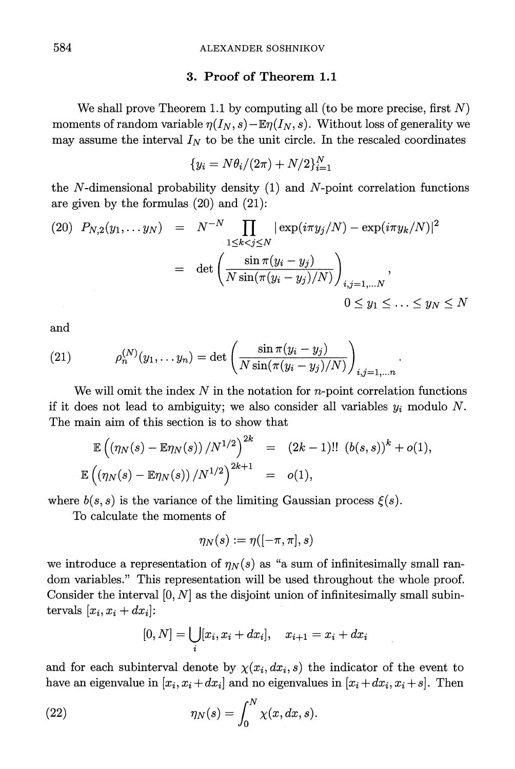#### **3. Proof of Theorem 1.1**

We shall prove Theorem 1.1 by computing all (to be more precise, first  $N$ ) moments of random variable  $\eta(I_N, s)$  **-E** $\eta(I_N, s)$ . Without loss of generality we may assume the interval  $I_N$  to be the unit circle. In the rescaled coordinates

$$
\{y_i=N\theta_i/(2\pi)+N/2\}_{i=1}^N
$$

**the N-dimensional probability density (1) and N-point correlation functions are given by the formulas (20) and (21):** 

(20) 
$$
P_{N,2}(y_1,... y_N) = N^{-N} \prod_{1 \le k < j \le N} |\exp(i\pi y_j/N) - \exp(i\pi y_k/N)|^2
$$
  
\n
$$
= \det \left( \frac{\sin \pi (y_i - y_j)}{N \sin(\pi (y_i - y_j)/N)} \right)_{i,j=1,...N},
$$
\n
$$
0 \le y_1 \le ... \le y_N \le N
$$

**and** 

(21) 
$$
\rho_n^{(N)}(y_1, \dots y_n) = \det \left( \frac{\sin \pi (y_i - y_j)}{N \sin(\pi (y_i - y_j)/N)} \right)_{i,j=1,\dots n}
$$

**We will omit the index N in the notation for n-point correlation functions**  if it does not lead to ambiguity; we also consider all variables  $y_i$  modulo N. **The main aim of this section is to show that** 

$$
\mathbb{E}\left(\left(\eta_N(s)-\mathbb{E}\eta_N(s)\right)/N^{1/2}\right)^{2k} = (2k-1)!! \left(b(s,s)\right)^k + o(1),
$$
  

$$
\mathbb{E}\left(\left(\eta_N(s)-\mathbb{E}\eta_N(s)\right)/N^{1/2}\right)^{2k+1} = o(1),
$$

where  $b(s, s)$  is the variance of the limiting Gaussian process  $\xi(s)$ .

**To calculate the moments of** 

$$
\eta_N(s):=\eta([-\pi,\pi],s)
$$

we introduce a representation of  $\eta_N(s)$  as "a sum of infinitesimally small ran**dom variables." This representation will be used throughout the whole proof. Consider the interval [0, N] as the disjoint union of infinitesimally small subin**tervals  $[x_i, x_i + dx_i]$ :

$$
[0, N] = \bigcup_{i} [x_i, x_i + dx_i], \quad x_{i+1} = x_i + dx_i
$$

and for each subinterval denote by  $\chi(x_i, dx_i, s)$  the indicator of the event to have an eigenvalue in  $[x_i, x_i + dx_i]$  and no eigenvalues in  $[x_i + dx_i, x_i + s]$ . Then

(22) 
$$
\eta_N(s) = \int_0^N \chi(x, dx, s).
$$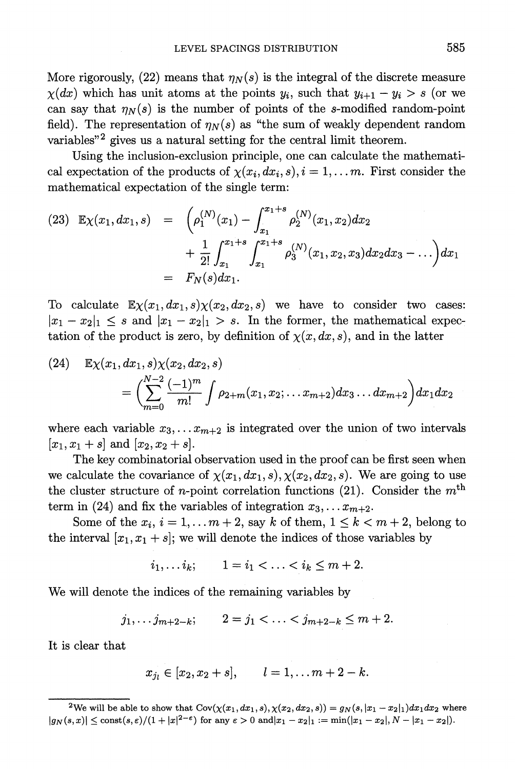More rigorously,  $(22)$  means that  $\eta_N(s)$  is the integral of the discrete measure  $\chi(dx)$  which has unit atoms at the points  $y_i$ , such that  $y_{i+1}-y_i > s$  (or we can say that  $\eta_N(s)$  is the number of points of the s-modified random-point field). The representation of  $\eta_N(s)$  as "the sum of weakly dependent random variables<sup>"2</sup> gives us a natural setting for the central limit theorem.

**Using the inclusion-exclusion principle, one can calculate the mathemati**cal expectation of the products of  $\chi(x_i, dx_i, s), i = 1, \ldots, m$ . First consider the **mathematical expectation of the single term:** 

$$
(23) \mathbb{E}\chi(x_1, dx_1, s) = \left(\rho_1^{(N)}(x_1) - \int_{x_1}^{x_1+s} \rho_2^{(N)}(x_1, x_2) dx_2 + \frac{1}{2!} \int_{x_1}^{x_1+s} \int_{x_1}^{x_1+s} \rho_3^{(N)}(x_1, x_2, x_3) dx_2 dx_3 - \dots\right) dx_1
$$

$$
= F_N(s) dx_1.
$$

To calculate  $\mathbb{E}\chi(x_1, dx_1, s)\chi(x_2, dx_2, s)$  we have to consider two cases:  $|x_1-x_2|_1 \leq s$  and  $|x_1-x_2|_1 > s$ . In the former, the mathematical expec**tation of the product is zero, by definition of**  $\chi(x,dx,s)$ **, and in the latter** 

(24) 
$$
\mathbb{E}\chi(x_1, dx_1, s)\chi(x_2, dx_2, s)
$$

$$
= \left(\sum_{m=0}^{N-2} \frac{(-1)^m}{m!} \int \rho_{2+m}(x_1, x_2; \dots; x_{m+2}) dx_3 \dots dx_{m+2}\right) dx_1 dx_2
$$

where each variable  $x_3, \ldots, x_{m+2}$  is integrated over the union of two intervals  $[x_1, x_1 + s]$  and  $[x_2, x_2 + s]$ .

**The key combinatorial observation used in the proof can be first seen when**  we calculate the covariance of  $\chi(x_1, dx_1, s), \chi(x_2, dx_2, s)$ . We are going to use the cluster structure of *n*-point correlation functions  $(21)$ . Consider the  $m<sup>th</sup>$ term in (24) and fix the variables of integration  $x_3, \ldots x_{m+2}$ .

Some of the  $x_i$ ,  $i = 1, \ldots, m+2$ , say k of them,  $1 \leq k < m+2$ , belong to the interval  $[x_1, x_1 + s]$ ; we will denote the indices of those variables by

$$
i_1,\ldots i_k;\qquad 1=i_1<\ldots
$$

**We will denote the indices of the remaining variables by** 

$$
j_1, \ldots j_{m+2-k};
$$
  $2 = j_1 < \ldots < j_{m+2-k} \le m+2.$ 

**It is clear that** 

$$
x_{j_l} \in [x_2, x_2 + s],
$$
   
  $l = 1, ..., m + 2 - k.$ 

<sup>&</sup>lt;sup>2</sup>We will be able to show that  $Cov(\chi(x_1, dx_1, s), \chi(x_2, dx_2, s)) = g_N(s, |x_1 - x_2|_1)dx_1dx_2$  where  $|g_N(s, x)| \le \text{const}(s, \varepsilon)/(1 + |x|^{2-\varepsilon})$  for any  $\varepsilon > 0$  and  $|x_1 - x_2|_1 := \min(|x_1 - x_2|, N - |x_1 - x_2|).$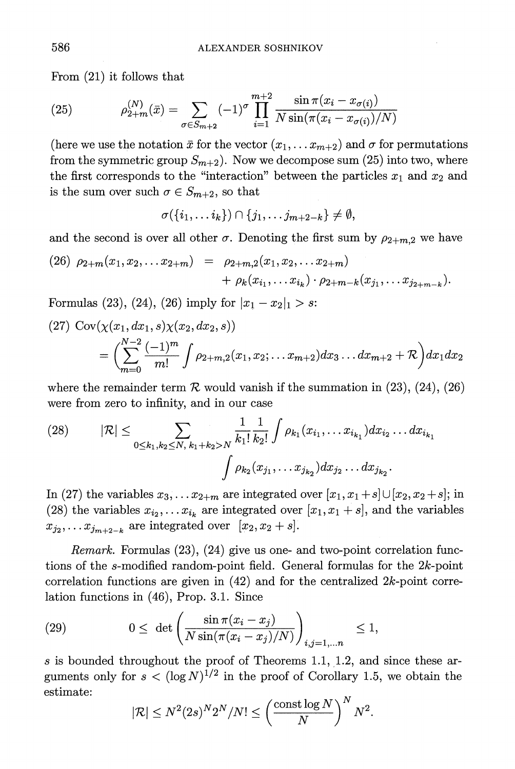**From (21) it follows that** 

(25) 
$$
\rho_{2+m}^{(N)}(\bar{x}) = \sum_{\sigma \in S_{m+2}} (-1)^{\sigma} \prod_{i=1}^{m+2} \frac{\sin \pi (x_i - x_{\sigma(i)})}{N \sin(\pi (x_i - x_{\sigma(i)})/N)}
$$

(here we use the notation  $\bar{x}$  for the vector  $(x_1, \ldots, x_{m+2})$  and  $\sigma$  for permutations from the symmetric group  $S_{m+2}$ ). Now we decompose sum (25) into two, where the first corresponds to the "interaction" between the particles  $x_1$  and  $x_2$  and is the sum over such  $\sigma \in S_{m+2}$ , so that

$$
\sigma(\{i_1,\ldots i_k\})\cap \{j_1,\ldots j_{m+2-k}\}\neq \emptyset,
$$

and the second is over all other  $\sigma$ . Denoting the first sum by  $\rho_{2+m,2}$  we have

(26) 
$$
\rho_{2+m}(x_1, x_2,... x_{2+m}) = \rho_{2+m,2}(x_1, x_2,... x_{2+m}) + \rho_k(x_{i_1},... x_{i_k}) \cdot \rho_{2+m-k}(x_{j_1},... x_{j_{2+m-k}}).
$$

**Formulas** (23), (24), (26) imply for  $|x_1-x_2|_1 > s$ :

$$
(27) \operatorname{Cov}(\chi(x_1, dx_1, s)\chi(x_2, dx_2, s))
$$
  
=  $\left(\sum_{m=0}^{N-2} \frac{(-1)^m}{m!} \int \rho_{2+m,2}(x_1, x_2; \dots x_{m+2}) dx_3 \dots dx_{m+2} + \mathcal{R}\right) dx_1 dx_2$ 

where the remainder term  $\mathcal R$  would vanish if the summation in (23), (24), (26) **were from zero to infinity, and in our case** 

(28) 
$$
|\mathcal{R}| \leq \sum_{0 \leq k_1, k_2 \leq N, k_1 + k_2 > N} \frac{1}{k_1!} \frac{1}{k_2!} \int \rho_{k_1}(x_{i_1}, \dots x_{i_{k_1}}) dx_{i_2} \dots dx_{i_{k_1}}
$$

$$
\int \rho_{k_2}(x_{j_1}, \dots x_{j_{k_2}}) dx_{j_2} \dots dx_{j_{k_2}}.
$$

In (27) the variables  $x_3, \ldots x_{2+m}$  are integrated over  $[x_1, x_1 + s] \cup [x_2, x_2 + s]$ ; in (28) the variables  $x_{i_2}, \ldots x_{i_k}$  are integrated over  $[x_1, x_1 + s]$ , and the variables  $x_{j_2}, \ldots x_{j_{m+2-k}}$  are integrated over  $[x_2, x_2 + s]$ .

**Remark. Formulas (23), (24) give us one- and two-point correlation functions of the s-modified random-point field. General formulas for the 2k-point correlation functions are given in (42) and for the centralized 2k-point correlation functions in (46), Prop. 3.1. Since** 

(29) 
$$
0 \leq \det \left( \frac{\sin \pi (x_i - x_j)}{N \sin(\pi (x_i - x_j)/N)} \right)_{i,j=1,...n} \leq 1,
$$

**s is bounded throughout the proof of Theorems 1.1, 1.2, and since these ar**guments only for  $s < (\log N)^{1/2}$  in the proof of Corollary 1.5, we obtain the **estimate:** 

$$
|\mathcal{R}| \leq N^2 (2s)^N 2^N/N! \leq \left(\frac{\operatorname{const} \log N}{N}\right)^N N^2.
$$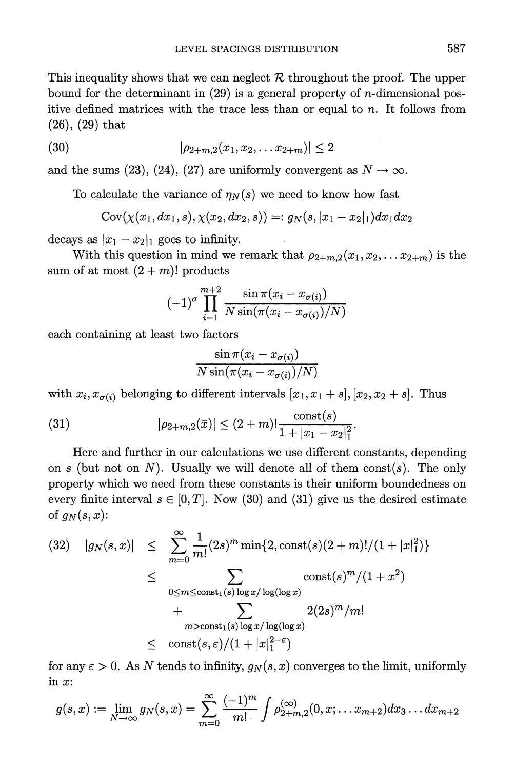This inequality shows that we can neglect  $R$  throughout the proof. The upper **bound for the determinant in (29) is a general property of n-dimensional positive defined matrices with the trace less than or equal to n. It follows from (26), (29) that** 

$$
(30) \qquad |\rho_{2+m,2}(x_1, x_2, \ldots x_{2+m})| \leq 2
$$

and the sums (23), (24), (27) are uniformly convergent as  $N \to \infty$ .

To calculate the variance of  $\eta_N(s)$  we need to know how fast

$$
Cov(\chi(x_1, dx_1, s), \chi(x_2, dx_2, s)) =: g_N(s, |x_1 - x_2|_1) dx_1 dx_2
$$

decays as  $|x_1 - x_2|_1$  goes to infinity.

With this question in mind we remark that  $\rho_{2+m,2} (x_1, x_2, \ldots x_{2+m})$  is the sum of at most  $(2+m)!$  products

$$
(-1)^{\sigma} \prod_{i=1}^{m+2} \frac{\sin \pi (x_i - x_{\sigma(i)})}{N \sin(\pi (x_i - x_{\sigma(i)})/N)}
$$

**each containing at least two factors** 

$$
\frac{\sin\pi (x_i-x_{\sigma(i)})}{N\sin(\pi (x_i-x_{\sigma(i)})/N)}
$$

with  $x_i, x_{\sigma(i)}$  belonging to different intervals  $[x_1, x_1 + s], [x_2, x_2 + s]$ . Thus

(31) 
$$
|\rho_{2+m,2}(\bar{x})| \le (2+m)! \frac{\text{const}(s)}{1+|x_1-x_2|_1^2}.
$$

**Here and further in our calculations we use different constants, depending**  on s (but not on  $N$ ). Usually we will denote all of them  $const(s)$ . The only **property which we need from these constants is their uniform boundedness on**  every finite interval  $s \in [0, T]$ . Now (30) and (31) give us the desired estimate of  $g_N(s,x)$ :

$$
(32) \quad |g_N(s,x)| \leq \sum_{m=0}^{\infty} \frac{1}{m!} (2s)^m \min\{2, \text{const}(s)(2+m)!/(1+|x|_1^2)\}
$$
  

$$
\leq \sum_{0 \leq m \leq \text{const}_1(s) \log x/\log(\log x)} \text{const}(s)^m/(1+x^2)
$$
  

$$
+ \sum_{m > \text{const}_1(s) \log x/\log(\log x)} 2(2s)^m/m!
$$
  

$$
\leq \text{const}(s,\varepsilon)/(1+|x|_1^{2-\varepsilon})
$$

for any  $\varepsilon > 0$ . As N tends to infinity,  $g_N(s, x)$  converges to the limit, uniformly **in x:** 

$$
g(s,x) := \lim_{N \to \infty} g_N(s,x) = \sum_{m=0}^{\infty} \frac{(-1)^m}{m!} \int \rho_{2+m,2}^{(\infty)}(0,x,\ldots,x_{m+2}) dx_3 \ldots dx_{m+2}
$$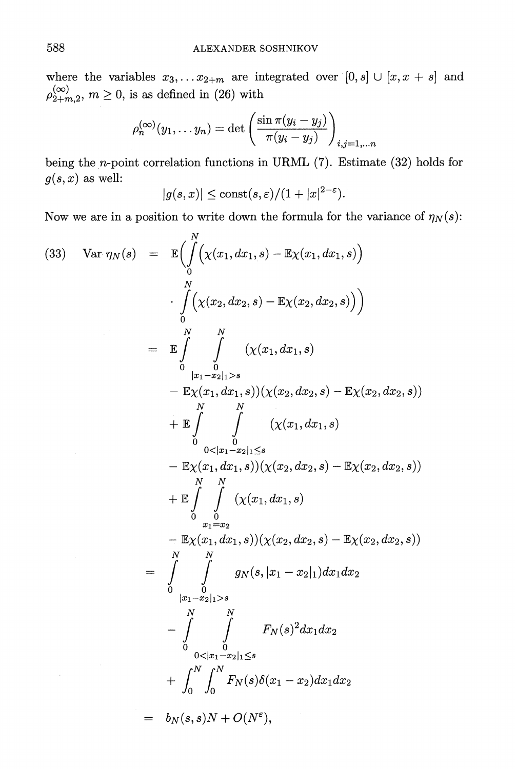where the variables  $x_3, \ldots x_{2+m}$  are integrated over  $[0, s] \cup [x, x + s]$  and  $\rho_{2+m,2}^{(\infty)}$ ,  $m \ge 0$ , is as defined in (26) with

$$
\rho_n^{(\infty)}(y_1,\ldots y_n)=\det\left(\frac{\sin\pi(y_i-y_j)}{\pi(y_i-y_j)}\right)_{i,j=1,\ldots n}
$$

**being the n-point correlation functions in URML (7). Estimate (32) holds for**   $g(s, x)$  as well:

$$
|g(s,x)| \leq \text{const}(s,\varepsilon)/(1+|x|^{2-\varepsilon}).
$$

Now we are in a position to write down the formula for the variance of  $\eta_N(s)$ :

$$
(33) \quad \text{Var } \eta_N(s) = \mathbb{E}\Big(\int_0^N \Big(\chi(x_1, dx_1, s) - \mathbb{E}\chi(x_1, dx_1, s)\Big) \n\cdot \int_0^N \Big(\chi(x_2, dx_2, s) - \mathbb{E}\chi(x_2, dx_2, s)\Big) \Big) \n= \mathbb{E}\int_0^N \int_{|x_1-x_2|_1 > s} (\chi(x_1, dx_1, s) \n- \mathbb{E}\chi(x_1, dx_1, s))(\chi(x_2, dx_2, s) - \mathbb{E}\chi(x_2, dx_2, s)) \n+ \mathbb{E}\int_0^N \int_{0 < |x_1-x_2|_1 \leq s} (\chi(x_1, dx_1, s) \n- \mathbb{E}\chi(x_1, dx_1, s))(\chi(x_2, dx_2, s) - \mathbb{E}\chi(x_2, dx_2, s)) \n+ \mathbb{E}\int_0^N \int_{x_1-x_2}^N (\chi(x_1, dx_1, s) \n+ \mathbb{E}\int_0^N \int_{x_1-x_2}^N (\chi(x_1, dx_1, s))(\chi(x_2, dx_2, s) - \mathbb{E}\chi(x_2, dx_2, s)) \n= \int_0^N \int_0^N g_N(s, |x_1-x_2|_1)dx_1dx_2 \n- \int_0^N \int_0^N g_N(s, |x_1-x_2|_1)dx_1dx_2 \n+ \int_0^N \int_0^N F_N(s)\delta(x_1-x_2)dx_1dx_2 \n= b_N(s, s)N + O(N^{\epsilon}),
$$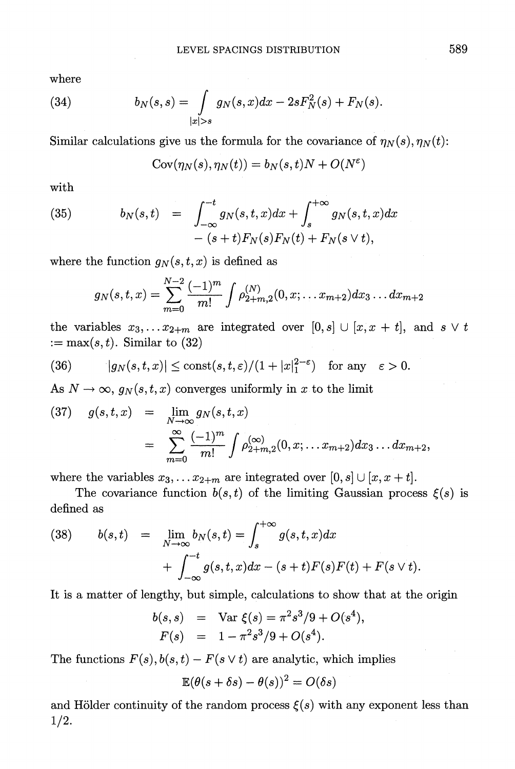**where** 

(34) 
$$
b_N(s,s) = \int_{|x|>s} g_N(s,x)dx - 2sF_N^2(s) + F_N(s).
$$

Similar calculations give us the formula for the covariance of  $\eta_N(s), \eta_N(t)$ :

$$
Cov(\eta_N(s), \eta_N(t)) = b_N(s, t)N + O(N^{\varepsilon})
$$

**with** 

(35) 
$$
b_N(s,t) = \int_{-\infty}^{-t} g_N(s,t,x) dx + \int_s^{+\infty} g_N(s,t,x) dx - (s+t) F_N(s) F_N(t) + F_N(s \vee t),
$$

where the function  $g_N(s,t,x)$  is defined as

$$
g_N(s,t,x)=\sum_{m=0}^{N-2}\frac{(-1)^m}{m!}\int\rho_{2+m,2}^{(N)}(0,x;\ldots x_{m+2})dx_3\ldots dx_{m+2}
$$

the variables  $x_3, \ldots, x_{2+m}$  are integrated over  $[0, s] \cup [x, x + t]$ , and  $s \vee t$  $\mathbf{m} = \max(s, t)$ . Similar to (32)

(36) 
$$
|g_N(s,t,x)| \le \text{const}(s,t,\varepsilon)/(1+|x|_1^{2-\varepsilon}) \text{ for any } \varepsilon > 0.
$$

 $\text{As} \; N \rightarrow \infty, \; g_N( \cdot )$ **t,jx) converges uniformly in x to the limit** 

(37) 
$$
g(s,t,x) = \lim_{N \to \infty} g_N(s,t,x)
$$

$$
= \sum_{m=0}^{\infty} \frac{(-1)^m}{m!} \int \rho_{2+m,2}^{(\infty)}(0,x;\dots x_{m+2}) dx_3 \dots dx_{m+2},
$$

where the variables  $x_3, \ldots x_{2+m}$  are integrated over  $[0, s] \cup [x, x+t]$ .

The covariance function  $b(s, t)$  of the limiting Gaussian process  $\xi(s)$  is **defined as** 

(38) 
$$
b(s,t) = \lim_{N \to \infty} b_N(s,t) = \int_s^{+\infty} g(s,t,x) dx + \int_{-\infty}^{-t} g(s,t,x) dx - (s+t)F(s)F(t) + F(s \vee t).
$$

**It is a matter of lengthy, but simple, calculations to show that at the origin** 

$$
b(s,s) = \text{Var } \xi(s) = \pi^2 s^3/9 + O(s^4),
$$
  

$$
F(s) = 1 - \pi^2 s^3/9 + O(s^4).
$$

The functions  $F(s)$ ,  $b(s,t) - F(s \vee t)$  are analytic, which implies

$$
\mathbb{E}(\theta(s+\delta s)-\theta(s))^2=O(\delta s)
$$

and Hölder continuity of the random process  $\xi(s)$  with any exponent less than **1/2.**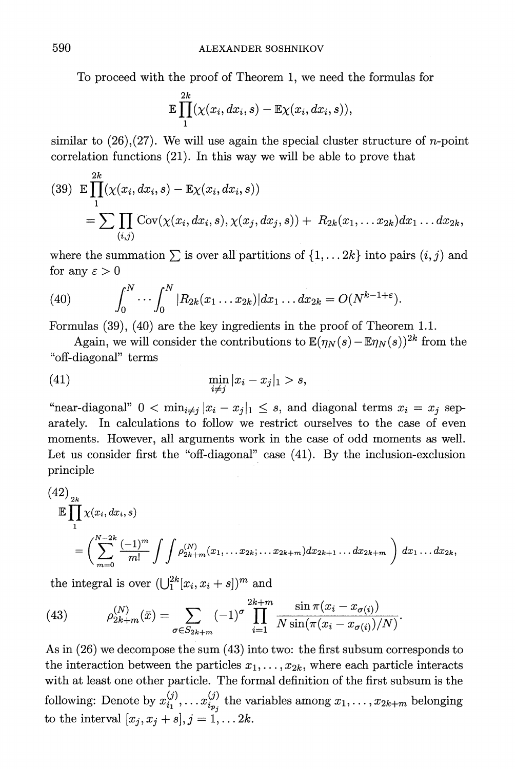**To proceed with the proof of Theorem 1, we need the formulas for** 

$$
\mathbb{E}\prod_1^{2k}(\chi(x_i,dx_i,s)-\mathbb{E}\chi(x_i,dx_i,s)),
$$

**similar to (26),(27). We will use again the special cluster structure of n-point correlation functions (21). In this way we will be able to prove that** 

(39) 
$$
\mathbb{E}\prod_{1}^{2k}(\chi(x_i, dx_i, s) - \mathbb{E}\chi(x_i, dx_i, s))
$$
  
= 
$$
\sum \prod_{(i,j)} \text{Cov}(\chi(x_i, dx_i, s), \chi(x_j, dx_j, s)) + R_{2k}(x_1, \dots x_{2k})dx_1 \dots dx_{2k},
$$

where the summation  $\sum$  is over all partitions of  $\{1, \ldots 2k\}$  into pairs  $(i, j)$  and for any  $\varepsilon > 0$ 

(40) 
$$
\int_0^N \cdots \int_0^N |R_{2k}(x_1 \ldots x_{2k})| dx_1 \ldots dx_{2k} = O(N^{k-1+\epsilon}).
$$

**Formulas (39), (40) are the key ingredients in the proof of Theorem 1.1.** 

Again, we will consider the contributions to  $\mathbb{E}(\eta_N(s) - \mathbb{E}\eta_N(s))^{2k}$  from the **"off-diagonal" terms** 

$$
\min_{i \neq j} |x_i - x_j|_1 > s,
$$

"near-diagonal"  $0 < \min_{i \neq j} |x_i - x_j|_1 \leq s$ , and diagonal terms  $x_i = x_j$  sep**arately. In calculations to follow we restrict ourselves to the case of even moments. However, all arguments work in the case of odd moments as well.**  Let us consider first the "off-diagonal" case (41). By the inclusion-exclusion **principle** 

$$
(42)2k\n
$$
\mathbb{E} \prod_{1}^{2k} \chi(x_i, dx_i, s)
$$
\n
$$
= \left( \sum_{m=0}^{N-2k} \frac{(-1)^m}{m!} \int \int \rho_{2k+m}^{(N)} (x_1, \dots x_{2k}; \dots x_{2k+m}) dx_{2k+1} \dots dx_{2k+m} \right) dx_1 \dots dx_{2k},
$$
$$

the integral is over  $(\bigcup_{1}^{2k}[x_i, x_i + s])^m$  and

(43) 
$$
\rho_{2k+m}^{(N)}(\bar{x}) = \sum_{\sigma \in S_{2k+m}} (-1)^{\sigma} \prod_{i=1}^{2k+m} \frac{\sin \pi (x_i - x_{\sigma(i)})}{N \sin(\pi (x_i - x_{\sigma(i)})/N)}
$$

**As in (26) we decompose the sum (43) into two: the first subsum corresponds to**  the interaction between the particles  $x_1, \ldots, x_{2k}$ , where each particle interacts **with at least one other particle. The formal definition of the first subsum is the following:** Denote by  $x_{i_1}^{(j)}, \ldots, x_{i_{p_j}}^{(j)}$  the variables among  $x_1, \ldots, x_{2k+m}$  belonging **to the interval**  $[x_j, x_j + s], j = 1, ... 2k.$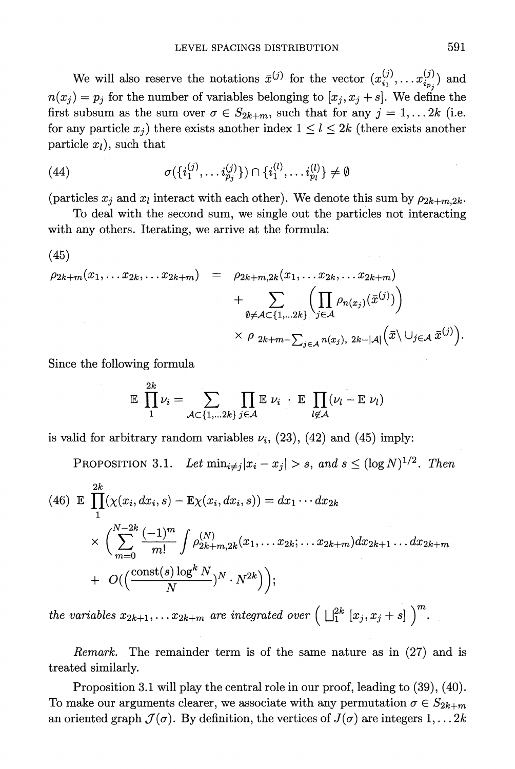We will also reserve the notations  $\bar{x}^{(j)}$  for the vector  $(x_{i_1}^{(j)},...,x_{i_{p_s}}^{(j)})$  and  $n(x_i) = p_i$  for the number of variables belonging to  $[x_i, x_j + s]$ . We define the first subsum as the sum over  $\sigma \in S_{2k+m}$ , such that for any  $j = 1, \ldots 2k$  (i.e. for any particle  $x_j$ ) there exists another index  $1 \leq l \leq 2k$  (there exists another  $particle  $x_l$ ), such that$ 

(44) 
$$
\sigma(\{i_1^{(j)}, \ldots i_{p_j}^{(j)}\}) \cap \{i_1^{(l)}, \ldots i_{p_l}^{(l)}\} \neq \emptyset
$$

(particles  $x_i$  and  $x_l$  interact with each other). We denote this sum by  $\rho_{2k+m,2k}$ .

**To deal with the second sum, we single out the particles not interacting with any others. Iterating, we arrive at the formula:** 

(45)  
\n
$$
\rho_{2k+m}(x_1,\ldots x_{2k},\ldots x_{2k+m}) = \rho_{2k+m,2k}(x_1,\ldots x_{2k},\ldots x_{2k+m}) + \sum_{\emptyset \neq A \subset \{1,\ldots 2k\}} \left( \prod_{j \in A} \rho_{n(x_j)}(\bar{x}^{(j)}) \right) \times \rho_{2k+m-\sum_{j \in A} n(x_j), 2k-|A|} \left( \bar{x} \setminus \bigcup_{j \in A} \bar{x}^{(j)} \right).
$$

**Since the following formula** 

$$
\mathbb{E} \prod_1^{2k} \nu_i = \sum_{\mathcal{A} \subset \{1,...2k\}} \prod_{j \in \mathcal{A}} \mathbb{E} \; \nu_i \; \cdot \; \mathbb{E} \; \prod_{l \not\in \mathcal{A}} (\nu_l - \mathbb{E} \; \nu_l)
$$

is valid for arbitrary random variables  $\nu_i$ , (23), (42) and (45) imply:

**PROPOSITION 3.1.** Let  $\min_{i \neq j} |x_i - x_j| > s$ , and  $s \leq (\log N)^{1/2}$ . Then

(46) 
$$
\mathbb{E} \prod_{1}^{2k} (\chi(x_i, dx_i, s) - \mathbb{E}\chi(x_i, dx_i, s)) = dx_1 \cdots dx_{2k} \times \left( \sum_{m=0}^{N-2k} \frac{(-1)^m}{m!} \int \rho_{2k+m, 2k}^{(N)} (x_1, \ldots x_{2k}; \ldots x_{2k+m}) dx_{2k+1} \ldots dx_{2k+m} + O(\left( \frac{\text{const}(s) \log^k N}{N} \right)^N \cdot N^{2k} ) \right);
$$

**the variables**  $x_{2k+1}, \ldots x_{2k+m}$  **are integrated over**  $\left( \prod_{1}^{2k} [x_j, x_j + s] \right)^m$ **.** 

**Remark. The remainder term is of the same nature as in (27) and is treated similarly.** 

**Proposition 3.1 will play the central role in our proof, leading to (39), (40).**  To make our arguments clearer, we associate with any permutation  $\sigma \in S_{2k+m}$ an oriented graph  $\mathcal{J}(\sigma)$ . By definition, the vertices of  $J(\sigma)$  are integers  $1, \ldots, 2k$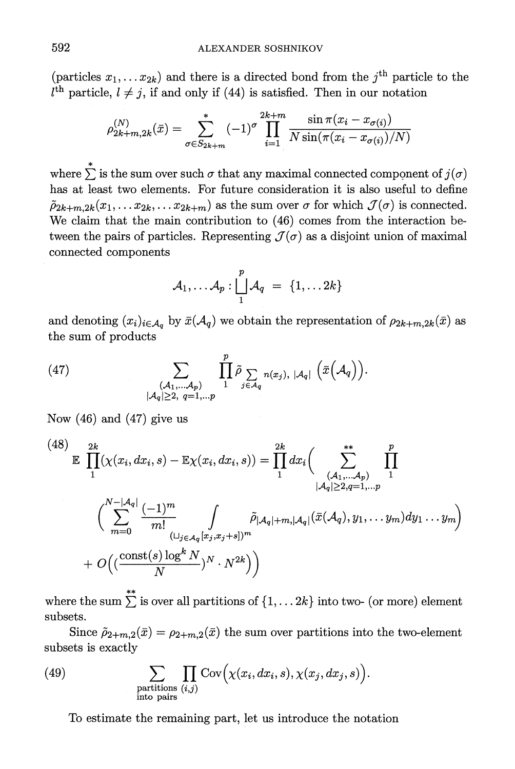(particles  $x_1, \ldots x_{2k}$ ) and there is a directed bond from the j<sup>th</sup> particle to the  $l<sup>th</sup>$  particle,  $l \neq j$ , if and only if (44) is satisfied. Then in our notation

$$
\rho_{2k+m,2k}^{(N)}(\bar{x}) = \sum_{\sigma \in S_{2k+m}}^{\infty} (-1)^{\sigma} \prod_{i=1}^{2k+m} \frac{\sin \pi (x_i - x_{\sigma(i)})}{N \sin(\pi (x_i - x_{\sigma(i)})/N)}
$$

 $\text{where } \sum^* \text{ is the sum over such } \sigma \text{ that any maximal connected component of } j(\sigma)$ **has at least two elements. For future consideration it is also useful to define**   $\tilde{\rho}_{2k+m,2k}(x_1,\ldots,x_{2k},\ldots,x_{2k+m})$  as the sum over  $\sigma$  for which  $\mathcal{J}(\sigma)$  is connected. **We claim that the main contribution to (46) comes from the interaction be**tween the pairs of particles. Representing  $\mathcal{J}(\sigma)$  as a disjoint union of maximal **connected components** 

$$
\mathcal{A}_1,\ldots \mathcal{A}_p: \bigsqcup_1^p \mathcal{A}_q \ = \ \{1,\ldots 2k\}
$$

and denoting  $(x_i)_{i \in \mathcal{A}_q}$  by  $\bar{x}(\mathcal{A}_q)$  we obtain the representation of  $\rho_{2k+m,2k}(\bar{x})$  as **the sum of products** 

(47) 
$$
\sum_{\substack{(\mathcal{A}_1,\ldots,\mathcal{A}_p)\\|\mathcal{A}_q|\geq 2, q=1,\ldots p}} \prod_{1}^{p} \tilde{\rho} \sum_{j \in \mathcal{A}_q} n(x_j), |\mathcal{A}_q| \left(\bar{x}(\mathcal{A}_q)\right).
$$

**Now (46) and (47) give us** 

$$
(48) \mathbb{E} \prod_{1}^{2k} (\chi(x_i, dx_i, s) - \mathbb{E}\chi(x_i, dx_i, s)) = \prod_{1}^{2k} dx_i \Biggl( \sum_{\substack{(\mathcal{A}_1, \dots, \mathcal{A}_p) \\ |\mathcal{A}_q| \ge 2, q=1, \dots p}}^{\mathbf{x}^*} \prod_{\substack{|\mathcal{A}_q| \ge 2, q=1, \dots p \\ |\mathcal{A}_q| \ge 2, q=1, \dots p}}^{\mathbf{y}^*} \Biggl( \sum_{m=0}^{N-|\mathcal{A}_q|} \frac{(-1)^m}{m!} \int_{(\sqcup_{j \in \mathcal{A}_q} [x_j, x_j + s])^m} \tilde{\rho}_{|\mathcal{A}_q| + m, |\mathcal{A}_q|}(\bar{x}(\mathcal{A}_q), y_1, \dots y_m) dy_1 \dots y_m \Biggr) + O\Bigl( \bigl( \frac{\text{const}(s) \log^k N}{N} \bigr)^N \cdot N^{2k} \Bigr) \Biggr)
$$

 $\mathbf{w}_0 = \mathbf{w}_0 + \sum_{i=1}^{n} \mathbf{w}_i$  is over all partitions of  $\{1, \ldots 2k\}$  into two- (or more) element **subsets.** 

Since  $\tilde{\rho}_{2+m,2}(\bar{x}) = \rho_{2+m,2}(\bar{x})$  the sum over partitions into the two-element **subsets is exactly** 

(49) 
$$
\sum_{\substack{\text{partitions } (i,j) \\ \text{into pairs}}} \prod_{(i,j)} \text{Cov} \Big( \chi(x_i, dx_i, s), \chi(x_j, dx_j, s) \Big).
$$

**To estimate the remaining part, let us introduce the notation**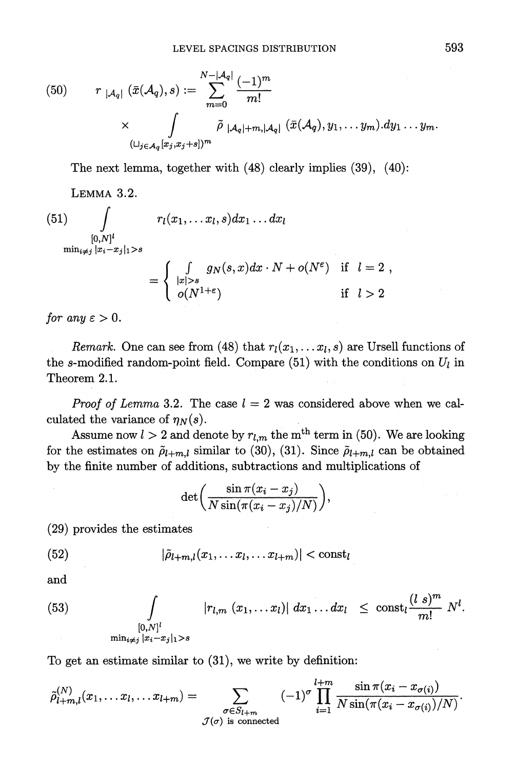(50) 
$$
r_{|\mathcal{A}_q|}(\bar{x}(\mathcal{A}_q), s) := \sum_{m=0}^{N-|\mathcal{A}_q|} \frac{(-1)^m}{m!}
$$

$$
\times \int_{(\sqcup_{j\in\mathcal{A}_q}[x_j,x_j+s])^m} \tilde{\rho}_{|\mathcal{A}_q|+m,|\mathcal{A}_q|}(\bar{x}(\mathcal{A}_q), y_1,\ldots y_m) \, dy_1 \ldots y_m.
$$

**The next lemma, together with (48) clearly implies (39), (40):** 

**LEMMA 3.2.** 

(51) 
$$
\int_{[0,N]^l} r_l(x_1,\ldots x_l,s)dx_1\ldots dx_l
$$

$$
\min_{i\neq j} |x_i-x_j|_1 > s
$$

$$
= \begin{cases} \int_{|x|>s} g_N(s,x)dx\cdot N + o(N^{\epsilon}) & \text{if } l=2, \\ o(N^{1+\epsilon}) & \text{if } l>2 \end{cases}
$$

for any  $\varepsilon > 0$ .

*Remark.* One can see from (48) that  $r_l(x_1, \ldots, x_l, s)$  are Ursell functions of the s-modified random-point field. Compare  $(51)$  with the conditions on  $U_l$  in **Theorem 2.1.** 

*Proof of Lemma* 3.2. The case  $l = 2$  was considered above when we calculated the variance of  $\eta_N(s)$ .

Assume now  $l > 2$  and denote by  $r_{l,m}$  the m<sup>th</sup> term in (50). We are looking for the estimates on  $\tilde{\rho}_{l+m,l}$  similar to (30), (31). Since  $\tilde{\rho}_{l+m,l}$  can be obtained **by the finite number of additions, subtractions and multiplications of** 

$$
\det\biggl(\frac{\sin\pi (x_i-x_j)}{N\sin(\pi (x_i-x_j)/N)}\biggr),\,
$$

**(29) prorrides the estimates** 

(52) 
$$
|\tilde{\rho}_{l+m,l}(x_1,\ldots x_l,\ldots x_{l+m})| < \text{const}_l
$$

**and** 

(53) 
$$
\int_{[0,N]^l} |r_{l,m}(x_1,...x_l)| dx_1...dx_l \leq \cosh_l \frac{(l s)^m}{m!} N^l.
$$

**To get an estimate similar to (31), we write by definition:** 

$$
\tilde{\rho}_{l+m,l}^{(N)}(x_1,\ldots x_l,\ldots x_{l+m})=\sum_{\substack{\sigma\in S_{l+m}\\\mathcal{J}(\sigma) \text{ is connected}}}( -1)^{\sigma}\prod_{i=1}^{l+m}\frac{\sin \pi(x_i-x_{\sigma(i)})}{N\sin(\pi(x_i-x_{\sigma(i)})/N)}.
$$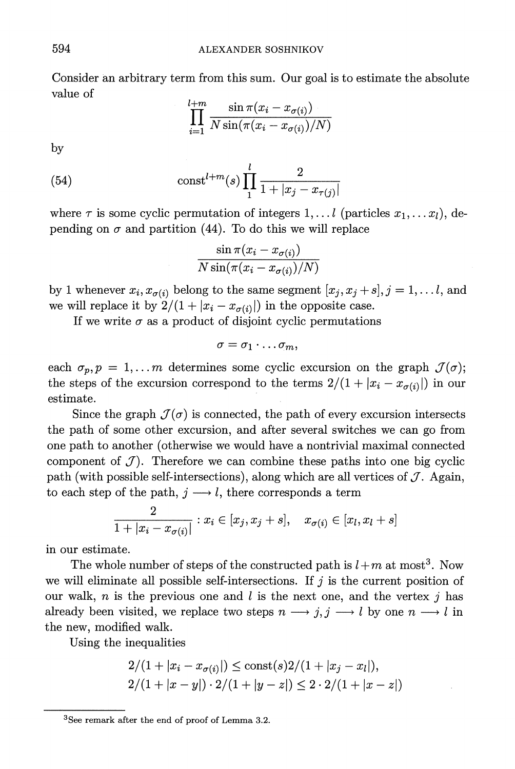**Consider an arbitrary term from this sum. Our goal is to estimate the absolute value of** 

$$
\prod_{i=1}^{l+m} \frac{\sin \pi (x_i - x_{\sigma(i)})}{N \sin(\pi (x_i - x_{\sigma(i)})/N)}
$$

**by** 

(54) 
$$
\text{const}^{l+m}(s) \prod_{1}^{l} \frac{2}{1+|x_j - x_{\tau(j)}|}
$$

where  $\tau$  is some cyclic permutation of integers  $1, \ldots l$  (particles  $x_1, \ldots x_l$ ), depending on  $\sigma$  and partition (44). To do this we will replace

$$
\frac{\sin\pi (x_i-x_{\sigma(i)})}{N\sin(\pi (x_i-x_{\sigma(i)})/N)}
$$

by 1 whenever  $x_i, x_{\sigma(i)}$  belong to the same segment  $[x_j, x_j + s], j = 1, \ldots l$ , and we will replace it by  $2/(1 + |x_i - x_{\sigma(i)}|)$  in the opposite case.

If we write  $\sigma$  as a product of disjoint cyclic permutations

$$
\sigma=\sigma_1\cdot\ldots\sigma_m,
$$

each  $\sigma_p$ ,  $p = 1, \ldots m$  determines some cyclic excursion on the graph  $\mathcal{J}(\sigma)$ ; the steps of the excursion correspond to the terms  $2/(1 + |x_i - x_{\sigma(i)}|)$  in our **estimate.** 

Since the graph  $\mathcal{J}(\sigma)$  is connected, the path of every excursion intersects **the path of some other excursion, and after several switches we can go from one path to another (otherwise we would have a nontrivial maximal connected**  component of  $J$ ). Therefore we can combine these paths into one big cyclic path (with possible self-intersections), along which are all vertices of  $J$ . Again, to each step of the path,  $j \rightarrow l$ , there corresponds a term

$$
\frac{2}{1+|x_i-x_{\sigma(i)}|}: x_i \in [x_j, x_j+s], \quad x_{\sigma(i)} \in [x_l, x_l+s]
$$

**in our estimate.** 

The whole number of steps of the constructed path is  $l+m$  at most<sup>3</sup>. Now we will eliminate all possible self-intersections. If  $j$  is the current position of our walk,  $n$  is the previous one and  $l$  is the next one, and the vertex  $j$  has already been visited, we replace two steps  $n \rightarrow j, j \rightarrow l$  by one  $n \rightarrow l$  in **the new, modified walk.** 

**Using the inequalities** 

$$
2/(1+|x_i - x_{\sigma(i)}|) \le \text{const}(s)2/(1+|x_j - x_l|),
$$
  
2/(1+|x - y|) \cdot 2/(1+|y - z|) \le 2 \cdot 2/(1+|x - z|)

**<sup>3</sup>See remark after the end of proof of Lemma 3.2.**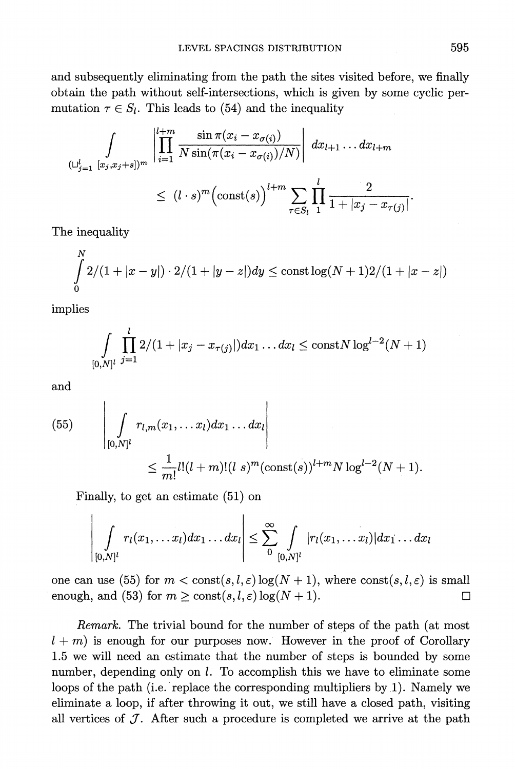**and subsequently eliminating from the path the sites visited before, we finally obtain the path without self-intersections, which is given by some cyclic per**mutation  $\tau \in S_l$ . This leads to (54) and the inequality

$$
\int_{(\sqcup_{j=1}^{l} [x_j, x_j+s])^m} \left| \prod_{i=1}^{l+m} \frac{\sin \pi (x_i - x_{\sigma(i)})}{N \sin(\pi (x_i - x_{\sigma(i)})/N)} \right| dx_{l+1} \dots dx_{l+m}
$$
\n
$$
\leq (l \cdot s)^m \left( \text{const}(s) \right)^{l+m} \sum_{\tau \in S_l} \prod_{1}^{l} \frac{2}{1 + |x_j - x_{\tau(j)}|}
$$

**The inequality** 

$$
\int_{0}^{N} 2/(1+|x-y|) \cdot 2/(1+|y-z|) dy \le \text{const} \log(N+1)2/(1+|x-z|)
$$

**\* j mplles** 

$$
\int_{[0,N]^l} \prod_{j=1}^l 2/(1+|x_j - x_{\tau(j)}|) dx_1 \dots dx_l \le \text{const} N \log^{l-2}(N+1)
$$

**and** 

(55) 
$$
\left| \int_{[0,N]^l} r_{l,m}(x_1,\ldots x_l) dx_1 \ldots dx_l \right|
$$
  
 
$$
\leq \frac{1}{m!} l!(l+m)!(l \ s)^m (\text{const}(s))^{l+m} N \log^{l-2}(N+1).
$$

**Finally, to get an estimate (51) on** 

$$
\left|\int\limits_{[0,N]^l}r_l(x_1,\ldots x_l)dx_1\ldots dx_l\right|\leq \sum_{0}^{\infty}\int\limits_{[0,N]^l}|r_l(x_1,\ldots x_l)|dx_1\ldots dx_l
$$

one can use (55) for  $m < \text{const}(s, l, \varepsilon) \log(N + 1)$ , where  $\text{const}(s, l, \varepsilon)$  is small enough, and (53) for  $m \ge \text{const}(s, l, \varepsilon) \log(N + 1)$ .

**Remark. The trivial bound for the number of steps of the path (at most**   $l + m$ ) is enough for our purposes now. However in the proof of Corollary **1.5 we will need an estimate that the number of steps is bounded by some number, depending only on 1. To accomplish this we have to eliminate some loops of the path (i.e. replace the corresponding multipliers by 1). Namely we eliminate a loop, if after throwing it out, we still have a closed path, visiting**  all vertices of  $\mathcal{J}$ . After such a procedure is completed we arrive at the path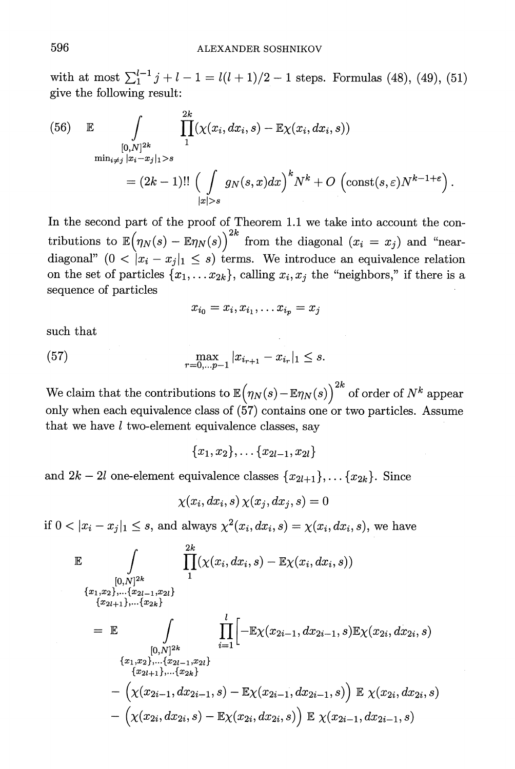with at most  $\sum_{1}^{l-1} j + l - 1 = l(l+1)/2 - 1$  steps. Formulas (48), (49), (51) **give the following result:** 

(56) 
$$
\mathbb{E} \int_{\substack{[0,N]^{2k} \\ \min_{i \neq j} |x_i - x_j|_1 > s}} \prod_{1}^{2k} (\chi(x_i, dx_i, s) - \mathbb{E}\chi(x_i, dx_i, s))
$$

$$
= (2k-1)!! \left( \int_{|x| > s} g_N(s, x) dx \right)^k N^k + O\left( \text{const}(s, \varepsilon) N^{k-1+\varepsilon} \right).
$$

**In the second part of the proof of Theorem 1.1 we take into account the con**tributions to  $\mathbb{E}(\eta_N(s) - \mathbb{E}\eta_N(s))^2$  from the diagonal  $(x_i = x_j)$  and "neardiagonal"  $(0 < |x_i - x_j|_1 \leq s)$  terms. We introduce an equivalence relation on the set of particles  $\{x_1, \ldots x_{2k}\}$ , calling  $x_i, x_j$  the "neighbors," if there is a **sequence of particles** 

$$
x_{i_0}=x_i,x_{i_1},\ldots x_{i_p}=x_j
$$

**such that** 

(57) 
$$
\max_{r=0,\dots p-1} |x_{i_{r+1}} - x_{i_r}|_1 \leq s.
$$

We claim that the contributions to  $\mathbb{E}(\eta_N(s) - \mathbb{E}\eta_N(s))^2$  of order of  $N^k$  appear **only when each equivalence class of (57) contains one or two particles. Assume that we have l two-element equivalence classes, say** 

 ${x_1, x_2}, \ldots, {x_{2l-1}, x_{2l}}$ 

and  $2k - 2l$  one-element equivalence classes  $\{x_{2l+1}\},\ldots,\{x_{2k}\}.$  Since

 $\chi(x_i, dx_i, s) \chi(x_i, dx_j, s) = 0$ 

**if**  $0 < |x_i - x_j|_1 \leq s$ , and always  $\chi^2(x_i, dx_i, s) = \chi(x_i, dx_i, s)$ , we have

$$
\mathbb{E} \int_{[0,N]^{2k}} \prod_{1}^{2k} (\chi(x_i, dx_i, s) - \mathbb{E}\chi(x_i, dx_i, s))
$$
\n
$$
{x_{1, x_{2}},...,x_{2l-1, x_{2l}} \atop {x_{2l+1}},...,x_{2k}}}
$$
\n
$$
= \mathbb{E} \int_{[0,N]^{2k}} \prod_{i=1}^{l} [-\mathbb{E}\chi(x_{2i-1}, dx_{2i-1}, s)\mathbb{E}\chi(x_{2i}, dx_{2i}, s)
$$
\n
$$
{x_{1, x_{2}},...,x_{2l-1, x_{2l}} \atop {x_{2l+1}},...,x_{2k}} - (\chi(x_{2i-1}, dx_{2i-1}, s) - \mathbb{E}\chi(x_{2i-1}, dx_{2i-1}, s)) \mathbb{E} \chi(x_{2i}, dx_{2i}, s)
$$
\n
$$
- (\chi(x_{2i}, dx_{2i}, s) - \mathbb{E}\chi(x_{2i}, dx_{2i}, s)) \mathbb{E} \chi(x_{2i-1}, dx_{2i-1}, s)
$$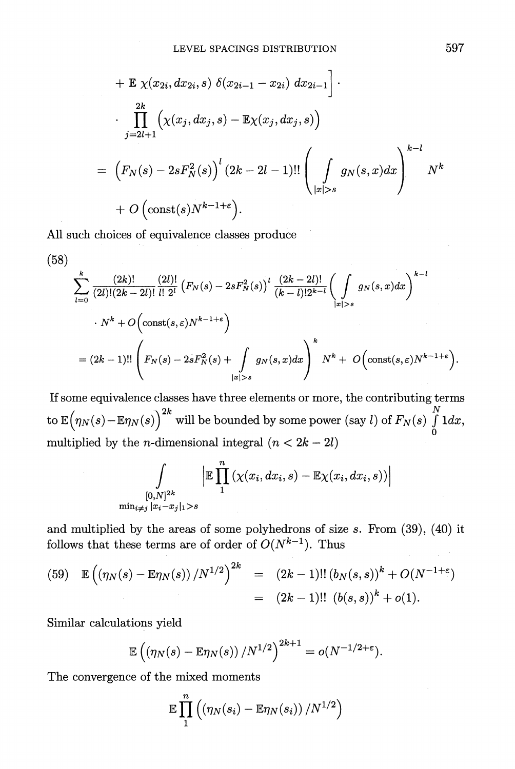+ 
$$
\mathbb{E} \chi(x_{2i}, dx_{2i}, s) \delta(x_{2i-1} - x_{2i}) dx_{2i-1}
$$
   
\n $\cdot \prod_{j=2l+1}^{2k} (\chi(x_j, dx_j, s) - \mathbb{E} \chi(x_j, dx_j, s))$   
\n=  $(F_N(s) - 2sF_N^2(s))^{l} (2k - 2l - 1)!! \left( \int_{|x|>s} g_N(s, x) dx \right)^{k-l} N^k$   
\n+  $O(\text{const}(s)N^{k-1+\epsilon}).$ 

**All such choices of equivalence classes produce** 

$$
(58)
$$
\n
$$
\sum_{l=0}^{k} \frac{(2k)!}{(2l)!(2k-2l)!} \frac{(2l)!}{l! \ 2^{l}} \left( F_N(s) - 2s F_N^2(s) \right)^l \frac{(2k-2l)!}{(k-l)! 2^{k-l}} \left( \int_{|x|>s} g_N(s,x) dx \right)^{k-l}
$$
\n
$$
\cdot N^k + O\left(\text{const}(s,\varepsilon) N^{k-1+\varepsilon}\right)
$$
\n
$$
= (2k-1)!! \left( F_N(s) - 2s F_N^2(s) + \int_{|x|>s} g_N(s,x) dx \right)^k N^k + O\left(\text{const}(s,\varepsilon) N^{k-1+\varepsilon}\right).
$$

**If some equivalence classes have three elements or more, the contributing terms**   $\frac{1}{2k}$  *x*  $\frac{2k}{2k}$  *x*  $\frac{1}{2k}$  *x*  $\frac{1}{2k}$  *x*  $\frac{1}{2k}$  *x*  $\frac{1}{2k}$  *x*  $\frac{1}{2k}$  *x*  $\frac{1}{2k}$  *x*  $\frac{1}{2k}$  *x*  $\frac{1}{2k}$  *x*  $\frac{1}{2k}$  *x*  $\frac{1}{2k}$  *x*  $\frac{1}{2k}$  *x*  $\tan \mathbb{E} \left( \eta_N(s) - \mathbb{E} \eta_N(s) \right)^{2n}$  will be bounded by some power (say  $l$ ) of  $F_N(s) \int \limits_0^s 1 dx$ , multiplied by the *n*-dimensional integral  $(n < 2k - 2l)$ 

$$
\int\limits_{[0,N]^{2k}}\left|\mathbb{E}\prod\limits_{1}^{n}\left(\chi(x_i,dx_i,s)-\mathbb{E}\chi(x_i,dx_i,s)\right)\right|
$$
  

$$
\min_{i\neq j}|x_i-x_j|_1>s
$$

**and multiplied by the areas of some polyhedrons of size s. From (39), (40) it**  follows that these terms are of order of  $O(N^{k-1})$ . Thus

(59) 
$$
\mathbb{E}\left(\left(\eta_N(s) - \mathbb{E}\eta_N(s)\right)/N^{1/2}\right)^{2k} = (2k-1)!!\left(b_N(s,s)\right)^k + O(N^{-1+\epsilon})
$$

$$
= (2k-1)!! \left(b(s,s)\right)^k + o(1).
$$

**Similar calculations yield** 

$$
\mathbb{E}\left(\left(\eta_N(s)-\mathbb{E}\eta_N(s)\right)/N^{1/2}\right)^{2k+1}=o(N^{-1/2+\varepsilon}).
$$

**The convergence of the mixed moments** 

$$
\mathbb{E}\prod_1^n \left(\left(\eta_N(s_i)-\mathbb{E}\eta_N(s_i)\right)/N^{1/2}\right)
$$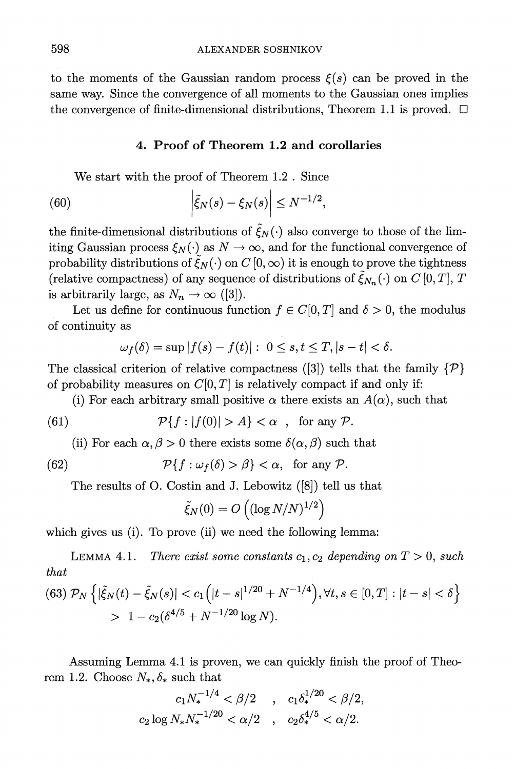to the moments of the Gaussian random process  $\xi(s)$  can be proved in the **same way. Since the convergence of all moments to the Gaussian ones implies**  the convergence of finite-dimensional distributions, Theorem 1.1 is proved.  $\Box$ 

#### **4. Proof of Theorem 1.2 and corollaries**

**We start with the proof of Theorem 1.2 . Since** 

(60) 
$$
\left|\tilde{\xi}_N(s)-\xi_N(s)\right|\leq N^{-1/2}
$$

the finite-dimensional distributions of  $\tilde{\xi}_N(\cdot)$  also converge to those of the lim**iting Gaussian process**  $\xi_N(\cdot)$  **as**  $N \to \infty$ **, and for the functional convergence of** probability distributions of  $\tilde{\mathcal{E}}_N(\cdot)$  on  $C(0,\infty)$  it is enough to prove the tightness (relative compactness) of any sequence of distributions of  $\zeta_{N_n}(\cdot)$  on C [0, T], T is arbitrarily large, as  $N_n \to \infty$  ([3]).<br>Let us define for continuous function  $f \in C[0, T]$  and  $\delta > 0$ , the modulus

**of continuity as** 

$$
\omega_f(\delta) = \sup |f(s) - f(t)|: \ 0 \le s, t \le T, |s - t| < \delta.
$$

**The classical criterion of relative compactness ([3]) tells that the family {P}**  of probability measures on  $C[0, T]$  is relatively compact if and only if:

(i) For each arbitrary small positive  $\alpha$  there exists an  $A(\alpha)$ , such that

(61) 
$$
\mathcal{P}\{f : |f(0)| > A\} < \alpha \quad , \text{ for any } \mathcal{P}.
$$

(ii) For each  $\alpha, \beta > 0$  there exists some  $\delta(\alpha, \beta)$  such that

(62) 
$$
\mathcal{P}\{f:\omega_f(\delta) > \beta\} < \alpha, \text{ for any } \mathcal{P}.
$$

**The results of O. Costin and J. Lebowitz ([8]) tell us that** 

$$
\tilde{\xi}_N(0)=O\left((\log N/N)^{1/2}\right)
$$

which gives us (i). To prove (ii) we need the following lemma:

**LEMMA 4.1.** There exist some constants  $c_1, c_2$  depending on  $T > 0$ , such **that** 

$$
(63) \mathcal{P}_N \left\{ |\tilde{\xi}_N(t) - \tilde{\xi}_N(s)| < c_1 \left( |t - s|^{1/20} + N^{-1/4} \right), \forall t, s \in [0, T] : |t - s| < \delta \right\} \\ > 1 - c_2 (\delta^{4/5} + N^{-1/20} \log N).
$$

**Assuming Lemma 4.1 is proven, we can quickly finish the proof of Theo**rem 1.2. Choose  $N_*, \delta_*$  such that

$$
c_1 N_*^{-1/4} < \beta/2 \quad , \quad c_1 \delta_*^{1/20} < \beta/2,
$$
\n
$$
c_2 \log N_* N_*^{-1/20} < \alpha/2 \quad , \quad c_2 \delta_*^{4/5} < \alpha/2.
$$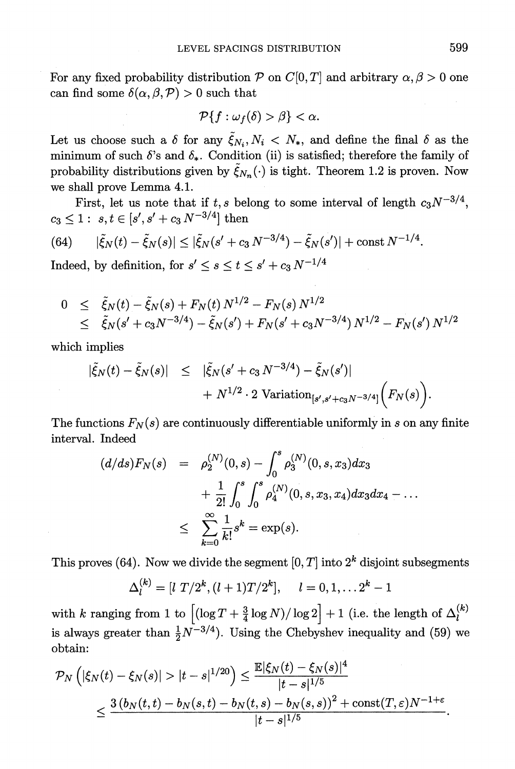For any fixed probability distribution P on  $C[0, T]$  and arbitrary  $\alpha, \beta > 0$  one can find some  $\delta(\alpha, \beta, \mathcal{P}) > 0$  such that

$$
\mathcal{P}\{f:\omega_f(\delta)>\beta\}<\alpha.
$$

Let us choose such a  $\delta$  for any  $\tilde{\xi}_{N_i},N_i\leq N_*$ , and define the final  $\delta$  as the minimum of such  $\delta$ 's and  $\delta_*$ . Condition (ii) is satisfied; therefore the family of probability distributions given by  $\tilde{\xi}_{N_n}(\cdot)$  is tight. Theorem 1.2 is proven. Now **we shall prove Lemma 4.1.** 

First, let us note that if  $t, s$  belong to some interval of length  $c_3N^{-3/4}$ ,  $c_3 \leq 1: s, t \in [s', s' + c_3 N^{-3/4}]$  then

(64) 
$$
|\tilde{\xi}_N(t) - \tilde{\xi}_N(s)| \leq |\tilde{\xi}_N(s' + c_3 N^{-3/4}) - \tilde{\xi}_N(s')| + \text{const } N^{-1/4}.
$$

Indeed, by definition, for  $s' \leq s \leq t \leq s' + c_3 N^{-1/4}$ 

$$
0 \leq \tilde{\xi}_N(t) - \tilde{\xi}_N(s) + F_N(t) N^{1/2} - F_N(s) N^{1/2}
$$
  
 
$$
\leq \tilde{\xi}_N(s' + c_3 N^{-3/4}) - \tilde{\xi}_N(s') + F_N(s' + c_3 N^{-3/4}) N^{1/2} - F_N(s') N^{1/2}
$$

**which implies** 

$$
|\tilde{\xi}_N(t) - \tilde{\xi}_N(s)| \leq |\tilde{\xi}_N(s' + c_3 N^{-3/4}) - \tilde{\xi}_N(s')|
$$
  
+  $N^{1/2} \cdot 2 \text{ Variation}_{[s', s' + c_3 N^{-3/4}]} (F_N(s)).$ 

The functions  $F_N(s)$  are continuously differentiable uniformly in s on any finite interval. Indeed

$$
(d/ds)F_N(s) = \rho_2^{(N)}(0, s) - \int_0^s \rho_3^{(N)}(0, s, x_3) dx_3
$$
  
+  $\frac{1}{2!} \int_0^s \int_0^s \rho_4^{(N)}(0, s, x_3, x_4) dx_3 dx_4 - \dots$   
 $\leq \sum_{k=0}^\infty \frac{1}{k!} s^k = \exp(s).$ 

This proves (64). Now we divide the segment  $[0, T]$  into  $2^k$  disjoint subsegments

$$
\Delta_l^{(k)} = [l \ T/2^k, (l+1)T/2^k], \quad l = 0, 1, \ldots 2^k - 1
$$

with *k* **ranging from 1 to**  $[(\log T + \frac{3}{4} \log N)/\log 2] + 1$  (i.e. the length of  $\Delta_i^{(k)}$ ) is always greater than  $\frac{1}{2}N^{-3/4}$ ). Using the Chebyshev inequality and (59) we **obtain:** 

$$
\mathcal{P}_N\left(|\xi_N(t) - \xi_N(s)| > |t - s|^{1/20}\right) \le \frac{\mathbb{E}|\xi_N(t) - \xi_N(s)|^4}{|t - s|^{1/5}} \\ \le \frac{3(b_N(t, t) - b_N(s, t) - b_N(t, s) - b_N(s, s))^2 + \text{const}(T, \varepsilon)N^{-1+\varepsilon}}{|t - s|^{1/5}}.
$$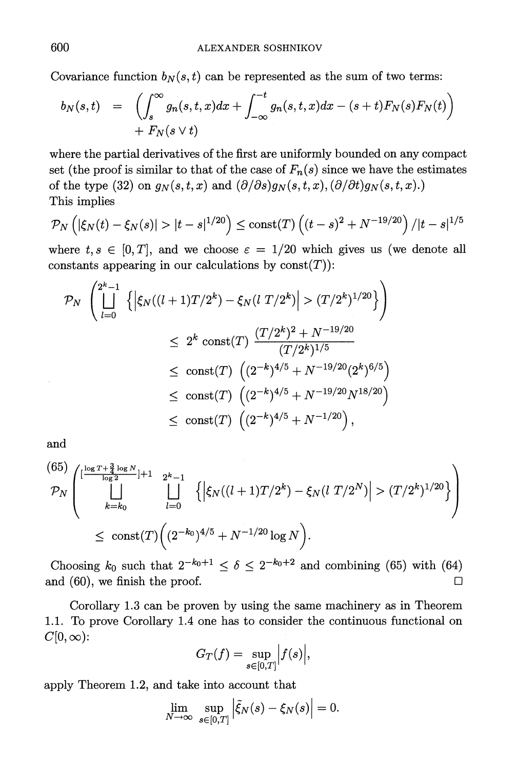Covariance function  $b_N(s, t)$  can be represented as the sum of two terms:

$$
b_N(s,t) = \left( \int_s^\infty g_n(s,t,x) dx + \int_{-\infty}^{-t} g_n(s,t,x) dx - (s+t) F_N(s) F_N(t) \right) + F_N(s \vee t)
$$

**where the partial derivatives of the first are uniformly bounded on any compact**  set (the proof is similar to that of the case of  $F_n(s)$  since we have the estimates of the type (32) on  $g_N(s,t,x)$  and  $(\partial/\partial s)g_N(s,t,x), (\partial/\partial t)g_N(s,t,x)$ . **This implies** 

$$
\mathcal{P}_N\left(|\xi_N(t) - \xi_N(s)| > |t - s|^{1/20}\right) \leq \text{const}(T)\left((t - s)^2 + N^{-19/20}\right)/|t - s|^{1/5}
$$

where  $t,s \in [0,T]$ , and we choose  $\varepsilon = 1/20$  which gives us (we denote all constants appearing in our calculations by  $\text{const}(T)$ :

$$
\mathcal{P}_N \left( \bigsqcup_{l=0}^{2^k - 1} \left\{ \left| \xi_N((l+1)T/2^k) - \xi_N(l \ T/2^k) \right| > (T/2^k)^{1/20} \right\} \right)
$$
  

$$
\leq 2^k \text{ const}(T) \frac{(T/2^k)^2 + N^{-19/20}}{(T/2^k)^{1/5}}
$$
  

$$
\leq \text{ const}(T) \left( (2^{-k})^{4/5} + N^{-19/20} (2^k)^{6/5} \right)
$$
  

$$
\leq \text{ const}(T) \left( (2^{-k})^{4/5} + N^{-19/20} N^{18/20} \right)
$$
  

$$
\leq \text{ const}(T) \left( (2^{-k})^{4/5} + N^{-19/20} N^{18/20} \right),
$$

**and** 

$$
\mathcal{P}_N \left( \bigcup_{\substack{\log T + \frac{3}{4} \log N \\ k = k_0}}^{\lfloor \frac{\log T + \frac{3}{4} \log N}{\log 2} \rfloor + 1} \bigcup_{l = 0}^{2^k - 1} \left\{ \left| \xi_N((l + 1)T/2^k) - \xi_N(l \ T/2^N) \right| > (T/2^k)^{1/20} \right\} \right) \leq \text{const}(T) \left( (2^{-k_0})^{4/5} + N^{-1/20} \log N \right).
$$

Choosing  $k_0$  such that  $2^{-k_0+1} \le \delta \le 2^{-k_0+2}$  and combining (65) with (64) **and (60), we finish the proof.**   $\Box$ 

**Corollary 1.3 can be proven by using the same machinery as in Theorem 1.1. To prove Corollary 1.4 one has to consider the continuous functional on**   $C[0,\infty)$ :

$$
G_T(f) = \sup_{s \in [0,T]} |f(s)|,
$$

**apply Theorem 1.2, and take into account that** 

$$
\lim_{N \to \infty} \sup_{s \in [0,T]} \left| \tilde{\xi}_N(s) - \xi_N(s) \right| = 0.
$$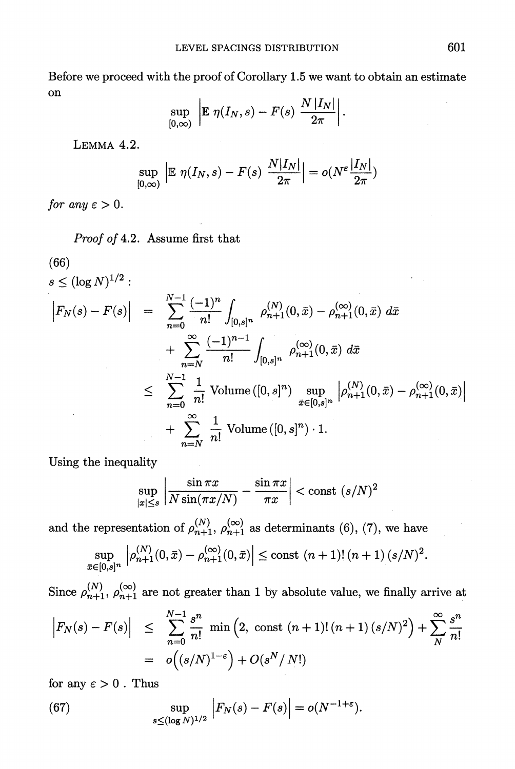**Before we proceed with the proof of Corollary 1.5 we want to obtain an estimate on** 

$$
\sup_{[0,\infty)} \ \bigg| \mathbb{E} \ \eta(I_N,s) - F(s) \ \frac{N\,|I_N|}{2\pi} \bigg| \,.
$$

**LEMMA 4.2.** 

$$
\sup_{[0,\infty)} \left| \mathbb{E} \eta(I_N, s) - F(s) \frac{N|I_N|}{2\pi} \right| = o(N^{\varepsilon} \frac{|I_N|}{2\pi})
$$

for any  $\varepsilon > 0$ .

**Proof of 4.2. Assume first that** 

(66)  
\n
$$
s \leq (\log N)^{1/2}:
$$
\n
$$
\left| F_N(s) - F(s) \right| = \sum_{n=0}^{N-1} \frac{(-1)^n}{n!} \int_{[0,s]^n} \rho_{n+1}^{(N)}(0, \bar{x}) - \rho_{n+1}^{(\infty)}(0, \bar{x}) d\bar{x} + \sum_{n=N}^{\infty} \frac{(-1)^{n-1}}{n!} \int_{[0,s]^n} \rho_{n+1}^{(\infty)}(0, \bar{x}) d\bar{x} \leq \sum_{n=0}^{N-1} \frac{1}{n!} \text{ Volume }([0,s]^n) \sup_{\bar{x} \in [0,s]^n} \left| \rho_{n+1}^{(N)}(0, \bar{x}) - \rho_{n+1}^{(\infty)}(0, \bar{x}) \right| + \sum_{n=N}^{\infty} \frac{1}{n!} \text{ Volume }([0,s]^n) \cdot 1.
$$

**Using the inequality** 

$$
\sup_{|x| \le s} \left| \frac{\sin \pi x}{N \sin(\pi x/N)} - \frac{\sin \pi x}{\pi x} \right| < \text{const } (s/N)^2
$$

and the representation of  $\rho_{n+1}^{(N)}$ ,  $\rho_{n+1}^{(\infty)}$  as determinants (6), (7), we have

$$
\sup_{\bar{x}\in[0,s]^n} \left| \rho_{n+1}^{(N)}(0,\bar{x}) - \rho_{n+1}^{(\infty)}(0,\bar{x}) \right| \le \text{const } (n+1)! \left( n+1 \right) (s/N)^2.
$$

Since  $\rho_{n+1}^{(N)}$ ,  $\rho_{n+1}^{(\infty)}$  are not greater than 1 by absolute value, we finally arrive at

$$
\begin{array}{rcl} \left| F_N(s) - F(s) \right| & \leq & \sum_{n=0}^{N-1} \frac{s^n}{n!} \min\left( 2, \, \text{const } (n+1)! \, (n+1) \, (s/N)^2 \right) + \sum_{N}^{\infty} \frac{s^n}{n!} \\ & = & o\Big( (s/N)^{1-\epsilon} \Big) + O(s^N / \, N!) \end{array}
$$

for any  $\varepsilon > 0$ . Thus

(67) 
$$
\sup_{s \leq (\log N)^{1/2}} \left| F_N(s) - F(s) \right| = o(N^{-1+\varepsilon}).
$$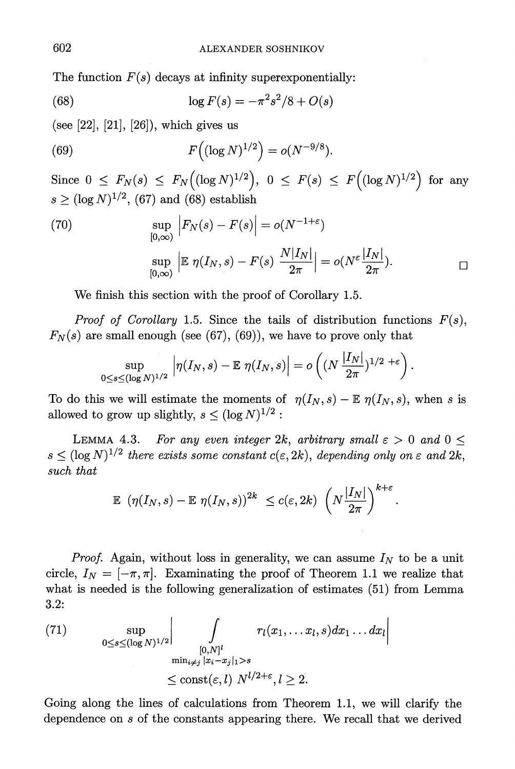The function  $F(s)$  decays at infinity superexponentially:

(68) 
$$
\log F(s) = -\pi^2 s^2/8 + O(s)
$$

**(see [22], [21], [26]), which gives us** 

(69) 
$$
F\left((\log N)^{1/2}\right) = o(N^{-9/8}).
$$

 $\text{Since } 0 \leq F_N(s) \leq F_N\left((\log N)^{1/2}\right), \ 0 \leq F(s) \leq F\left((\log N)^{1/2}\right) \text{ for any }$  $s > (\log N)^{1/2}$ , (67) and (68) establish

(70) 
$$
\sup_{[0,\infty)} |F_N(s) - F(s)| = o(N^{-1+\varepsilon})
$$

$$
\sup_{[0,\infty)} |E \eta(I_N, s) - F(s) \frac{N|I_N|}{2\pi}| = o(N^{\varepsilon} \frac{|I_N|}{2\pi}).
$$

**We finish this section with the proof of Corollary 1.5.** 

**Proof of Corollary 1.5.** Since the tails of distribution functions  $F(s)$ ,  $F_N(s)$  are small enough (see (67), (69)), we have to prove only that

$$
\sup_{0\leq s\leq (\log N)^{1/2}}\left|\eta(I_N,s)-{\mathbb E } \ \eta(I_N,s)\right|=o\left((N \ \frac{|I_N|}{2\pi})^{1/2\ +{\varepsilon }}\right).
$$

To do this we will estimate the moments of  $\eta(I_N, s) - \mathbb{E} \eta(I_N, s)$ , when s is allowed to grow up slightly,  $s \leq (\log N)^{1/2}$ :

**LEMMA 4.3.** For any even integer 2k, arbitrary small  $\varepsilon > 0$  and  $0 \leq$  $s \leq (\log N)^{1/2}$  there exists some constant  $c(\varepsilon, 2k)$ , depending only on  $\varepsilon$  and  $2k$ , such that

$$
\mathbb{E} \left( \eta(I_N, s) - \mathbb{E} \eta(I_N, s) \right)^{2k} \le c(\varepsilon, 2k) \left( N \frac{|I_N|}{2\pi} \right)^{k+\varepsilon}
$$

*Proof.* Again, without loss in generality, we can assume  $I_N$  to be a unit circle,  $I_N = [-\pi, \pi]$ . Examinating the proof of Theorem 1.1 we realize that **what is needed is the following generalization of estimates (51) from Lemma 3.2:** 

(71) 
$$
\sup_{0\leq s\leq (\log N)^{1/2}}\Big|\int_{\substack{[0,N]^l \ \min_{i\neq j} |x_i-x_j|_1>s}} r_l(x_1,\ldots x_l,s)dx_1\ldots dx_l\Big|
$$

$$
\leq \operatorname{const}(\varepsilon, l) N^{l/2+\varepsilon}, l\geq 2.
$$

**Going along the lines of calculations from Theorem 1.1, we will clarify the dependence on s of the constants appearing there. We recall that we derived**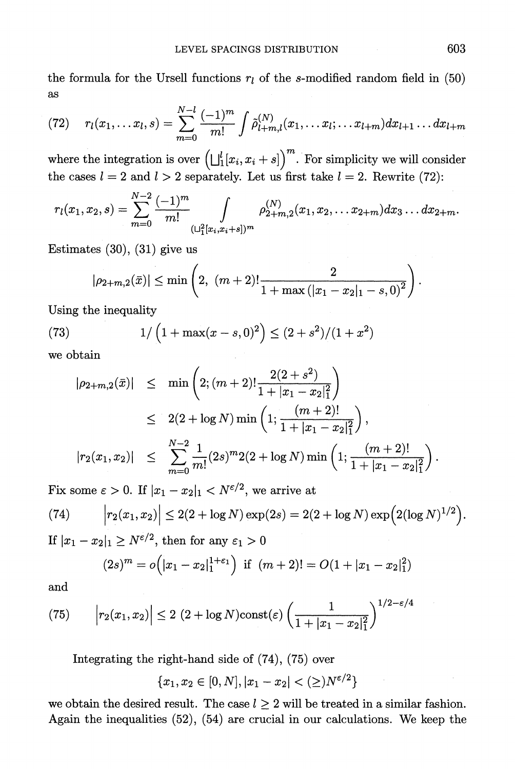the formula for the Ursell functions  $r_l$  of the s-modified random field in (50) **as** 

(72) 
$$
r_l(x_1,...x_l,s) = \sum_{m=0}^{N-l} \frac{(-1)^m}{m!} \int \tilde{\rho}_{l+m,l}^{(N)}(x_1,...x_l;...x_{l+m}) dx_{l+1}...dx_{l+m}
$$

where the integration is over  $\left(\bigcup_{i=1}^{l} [x_i, x_i + s]\right)^m$ . For simplicity we will consider the cases  $l = 2$  and  $l > 2$  separately. Let us first take  $l = 2$ . Rewrite (72):

$$
r_l(x_1,x_2,s)=\sum_{m=0}^{N-2}\frac{(-1)^m}{m!}\int\limits_{(\sqcup_1^2[x_i,x_i+s])^m}\rho_{2+m,2}^{(N)}(x_1,x_2,\ldots x_{2+m})dx_3\ldots dx_{2+m}.
$$

**Estimates (30), (31) give us** 

$$
|\rho_{2+m,2}(\bar{x})| \le \min\left(2, \ (m+2)! \frac{2}{1+\max\left(|x_1-x_2|_1-s,0\right)^2}\right)
$$

**Using the inequality** 

(73) 
$$
1/\left(1+\max(x-s,0)^2\right) \leq (2+s^2)/(1+x^2)
$$

**we obtain** 

$$
|\rho_{2+m,2}(\bar{x})| \leq \min\left(2; (m+2)! \frac{2(2+s^2)}{1+|x_1-x_2|_1^2}\right)
$$
  
\n
$$
\leq 2(2+\log N) \min\left(1; \frac{(m+2)!}{1+|x_1-x_2|_1^2}\right),
$$
  
\n
$$
|r_2(x_1,x_2)| \leq \sum_{m=0}^{N-2} \frac{1}{m!} (2s)^m 2(2+\log N) \min\left(1; \frac{(m+2)!}{1+|x_1-x_2|_1^2}\right).
$$

Fix some  $\varepsilon > 0$ . If  $|x_1 - x_2|_1 < N^{\varepsilon/2}$ , we arrive at

(74) 
$$
\left| r_2(x_1,x_2) \right| \leq 2(2+\log N) \exp(2s) = 2(2+\log N) \exp\Big(2(\log N)^{1/2}\Big).
$$

**If**  $|x_1-x_2|_1 \geq N^{\epsilon/2}$ , then for any  $\epsilon_1 > 0$ 

$$
(2s)^m = o\Big(|x_1 - x_2|_1^{1+\epsilon_1}\Big) \text{ if } (m+2)! = O(1+|x_1 - x_2|_1^2)
$$

**and** 

(75) 
$$
\left| r_2(x_1, x_2) \right| \le 2 (2 + \log N) \text{const}(\varepsilon) \left( \frac{1}{1 + |x_1 - x_2|_1^2} \right)^{1/2 - \varepsilon/4}
$$

**Integrating the right-hand side of (74), (75) over** 

$$
\{x_1,x_2\in [0,N], |x_1-x_2|<(\ge)N^{\varepsilon/2}\}
$$

we obtain the desired result. The case  $l \geq 2$  will be treated in a similar fashion. **Again the inequalities (52), (54) are crucial in our calculations. We keep the**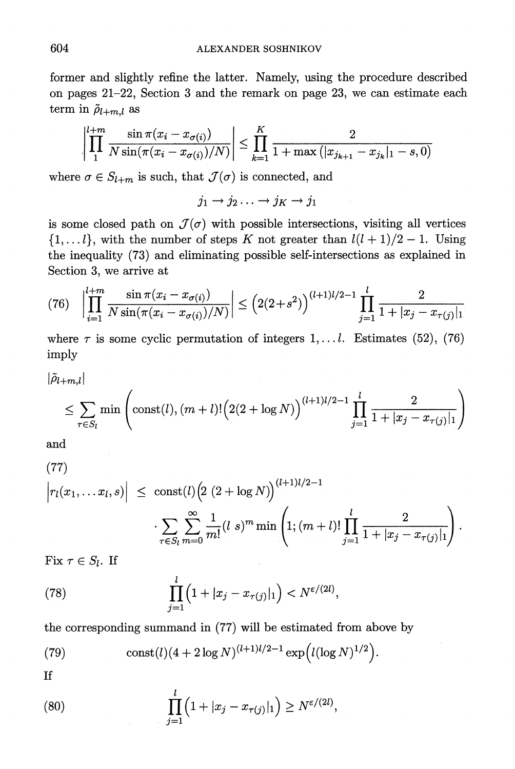**former and slightly refine the latter. Namely, using the procedure described on pages 21-22, Section 3 and the remark on page 23, we can estimate each**   $\text{term in } \tilde{\rho}_{l+m,l}$  as

$$
\left| \prod_{1}^{l+m} \frac{\sin \pi (x_i - x_{\sigma(i)})}{N \sin(\pi (x_i - x_{\sigma(i)})/N)} \right| \leq \prod_{k=1}^{K} \frac{2}{1 + \max (|x_{j_{k+1}} - x_{j_k}|_1 - s, 0)}
$$

where  $\sigma \in S_{l+m}$  is such, that  $\mathcal{J}(\sigma)$  is connected, and

 $j_1 \rightarrow j_2 \ldots \rightarrow j_K \rightarrow j_1$ 

is some closed path on  $\mathcal{J}(\sigma)$  with possible intersections, visiting all vertices  $\{1,\ldots l\}$ , with the number of steps K not greater than  $l(l+1)/2-1$ . Using **the inequality (73) and eliminating possible self-intersections as explained in Section 3, we arrive at** 

$$
(76)\quad \left|\prod_{i=1}^{l+m} \frac{\sin \pi (x_i - x_{\sigma(i)})}{N \sin(\pi (x_i - x_{\sigma(i)})/N)}\right| \le \left(2(2+s^2)\right)^{(l+1)l/2-1} \prod_{j=1}^{l} \frac{2}{1+|x_j - x_{\tau(j)}|_1}
$$

where  $\tau$  is some cyclic permutation of integers  $1, \ldots l$ . Estimates (52), (76) **imply** 

$$
|\tilde{\rho}_{l+m,l}| \leq \sum_{\tau \in S_l} \min \left( \text{const}(l), (m+l)! \Big( 2(2 + \log N) \Big)^{(l+1)l/2 - 1} \prod_{j=1}^l \frac{2}{1 + |x_j - x_{\tau(j)}|_1} \right)
$$

**and** 

(77)  
\n
$$
\left| r_l(x_1,...x_l,s) \right| \leq \text{const}(l) \left( 2 (2 + \log N) \right)^{(l+1)l/2-1} \cdot \sum_{\tau \in S_l} \sum_{m=0}^{\infty} \frac{1}{m!} (l \ s)^m \min \left( 1; (m+l)! \prod_{j=1}^l \frac{2}{1+|x_j - x_{\tau(j)}|_1} \right).
$$

Fix  $\tau \in S_l$ . If

(78) 
$$
\prod_{j=1}^{l} (1+|x_j - x_{\tau(j)}|_1) < N^{\varepsilon/(2l)},
$$

**the corresponding summand in (77) will be estimated from above by** 

(79) 
$$
\text{const}(l)(4+2\log N)^{(l+1)l/2-1}\exp\Big(l(\log N)^{1/2}\Big).
$$

**If** 

(80) 
$$
\prod_{j=1}^{l} (1+|x_j - x_{\tau(j)}|_1) \ge N^{\varepsilon/(2l)},
$$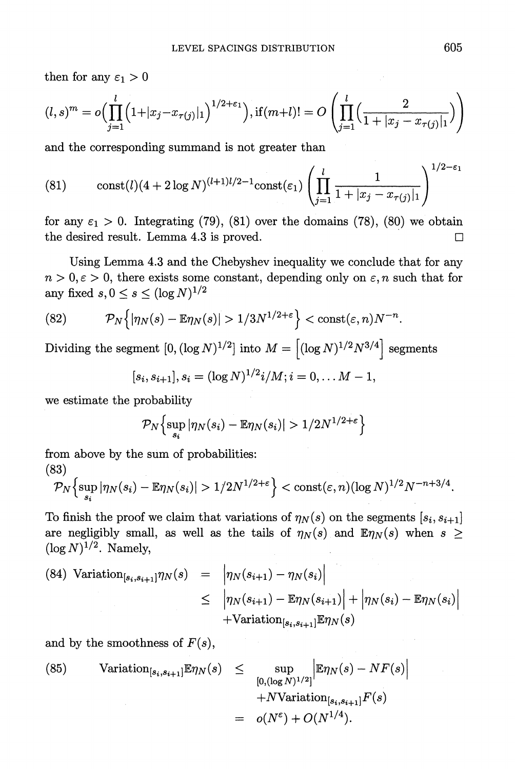then for any  $\varepsilon_1 > 0$ 

$$
(l,s)^m = o\Big(\prod_{j=1}^l \Big(1+|x_j-x_{\tau(j)}|_1\Big)^{1/2+\epsilon_1}\Big), \text{ if } (m+l)! = O\left(\prod_{j=1}^l \Big(\frac{2}{1+|x_j-x_{\tau(j)}|_1}\Big)\right)
$$

**and the corresponding summand is not greater than** 

(81) 
$$
\text{const}(l)(4+2\log N)^{(l+1)l/2-1}\text{const}(\varepsilon_1)\left(\prod_{j=1}^l\frac{1}{1+|x_j-x_{\tau(j)}|}\right)^{1/2-\varepsilon_1}
$$

for any  $\varepsilon_1 > 0$ . Integrating (79), (81) over the domains (78), (80) we obtain **the desired result. Lemma 4.3 is proved. O** 

**Using Lemma 4.3 and the Chebyshev inequality we conclude that for any**   $n > 0, \epsilon > 0$ , there exists some constant, depending only on  $\epsilon, n$  such that for any fixed  $s, 0 \leq s \leq (\log N)^{1/2}$ 

(82) 
$$
\mathcal{P}_N\Big\{|\eta_N(s)-\mathbb{E}\eta_N(s)|>1/3N^{1/2+\epsilon}\Big\}<\text{const}(\varepsilon,n)N^{-n}.
$$

Dividing the segment  $[0, (\log N)^{1/2}]$  into  $M = [(\log N)^{1/2}N^{3/4}]$  segments

$$
[s_i, s_{i+1}], s_i = (\log N)^{1/2} i/M; i = 0, \ldots M - 1,
$$

**we estimate the probability** 

$$
\mathcal{P}_N\Big\{\sup_{s_i}|\eta_N(s_i)-\mathbb{E}\eta_N(s_i)|>1/2N^{1/2+\varepsilon}\Big\}
$$

**from above by the sum of probabilities: (83)** 

$$
\mathcal{P}_N\Bigl\{\sup_{s_i}|\eta_N(s_i)-\mathbb{E}\eta_N(s_i)|>1/2N^{1/2+\varepsilon}\Bigr\}<\mathrm{const}(\varepsilon,n)(\log N)^{1/2}N^{-n+3/4}.
$$

To finish the proof we claim that variations of  $\eta_N(s)$  on the segments  $[s_i, s_{i+1}]$ are negligibly small, as well as the tails of  $\eta_N(s)$  and  $\mathbb{E}\eta_N(s)$  when  $s \geq$  $(\log N)^{1/2}$ . Namely,

(84) Variation<sub>[s<sub>i</sub>,s<sub>i+1</sub>]\n
$$
\begin{array}{rcl}\n\gamma_N(s) & = & \left| \eta_N(s_{i+1}) - \eta_N(s_i) \right| \\
& \leq & \left| \eta_N(s_{i+1}) - \mathbb{E} \eta_N(s_{i+1}) \right| + \left| \eta_N(s_i) - \mathbb{E} \eta_N(s_i) \right| \\
& & + \text{Variation}_{[s_i, s_{i+1}]} \mathbb{E} \eta_N(s)\n\end{array}
$$</sub>

and by the smoothness of  $F(s)$ ,

(85) Variation<sub>[s<sub>i</sub>,s<sub>i+1</sub>]</sub>
$$
\mathbb{E}\eta_N(s) \le \sup_{[0,(\log N)^{1/2}]} \left| \mathbb{E}\eta_N(s) - NF(s) \right|
$$
  
+*N*Variation<sub>[s<sub>i</sub>,s<sub>i+1</sub>]</sub> $F(s)$   
=  $o(N^{\varepsilon}) + O(N^{1/4}).$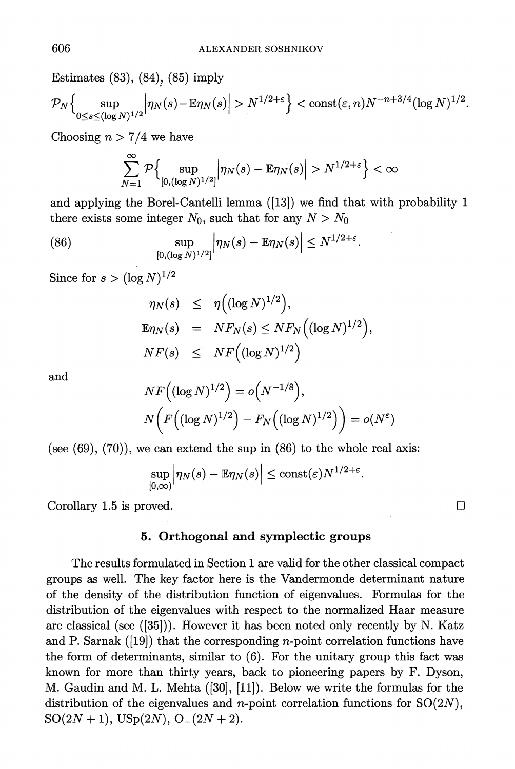**Estimates (83), (84), (85) imply** 

$$
\mathcal{P}_N\Big\{\sup_{0\leq s\leq (\log N)^{1/2}}\Big|\eta_N(s)-\mathbb{E}\eta_N(s)\Big|>N^{1/2+\varepsilon}\Big\}<\mathrm{const}(\varepsilon,n)N^{-n+3/4}(\log N)^{1/2}.
$$

Choosing  $n > 7/4$  we have

$$
\sum_{N=1}^{\infty} \mathcal{P}\Big\{\sup_{[0,(\log N)^{1/2}]} \Big| \eta_N(s) - \mathbb{E} \eta_N(s) \Big| > N^{1/2+\varepsilon} \Big\} < \infty
$$

**and applying the Borel-Cantelli lemma ([13]) we find that with probability 1**  there exists some integer  $N_0$ , such that for any  $N > N_0$ 

(86) 
$$
\sup_{[0,(\log N)^{1/2}]} \Big| \eta_N(s) - \mathbb{E} \eta_N(s) \Big| \leq N^{1/2 + \varepsilon}.
$$

Since for  $s > (\log N)^{1/2}$ 

$$
\eta_N(s) \leq \eta \Big( (\log N)^{1/2} \Big),
$$
  
\n
$$
\mathbb{E} \eta_N(s) = N F_N(s) \leq N F_N \Big( (\log N)^{1/2} \Big),
$$
  
\n
$$
N F(s) \leq N F \Big( (\log N)^{1/2} \Big)
$$

**and** 

$$
NF((\log N)^{1/2}) = o(N^{-1/8}),
$$
  

$$
N(F((\log N)^{1/2}) - F_N((\log N)^{1/2})) = o(N^{\varepsilon})
$$

**(see (69), (70)), we can extend the sup in (86) to the whole real axis:** 

$$
\sup_{[0,\infty)} \Big| \eta_N(s) - \mathbb{E} \eta_N(s) \Big| \leq \text{const}(\varepsilon) N^{1/2 + \varepsilon}
$$

Corollary 1.5 is proved.  $\square$ 

#### **5. Orthogonal and symplectic groups**

**The results formulated in Section 1 are valid for the other classical compact groups as well. The key factor here is the Vandermonde determinant nature of the density of the distribution function of eigenvalues. Formulas for the distribution of the eigenvalues with respect to the normalized Haar measure are classical (see ([35])). However it has been noted only recently by N. Katz and P. Sarnak ([19]) that the corresponding n-point correlation functions have the form of determinants, similar to (6). For the unitary group this fact was known for more than thirty years, back to pioneering papers by F. Dyson, M. Gaudin and M. L. Mehta ([30], [11]). Below we write the formulas for the**  distribution of the eigenvalues and *n*-point correlation functions for  $SO(2N)$ ,  $SO(2N + 1), USp(2N), O_{-}(2N + 2).$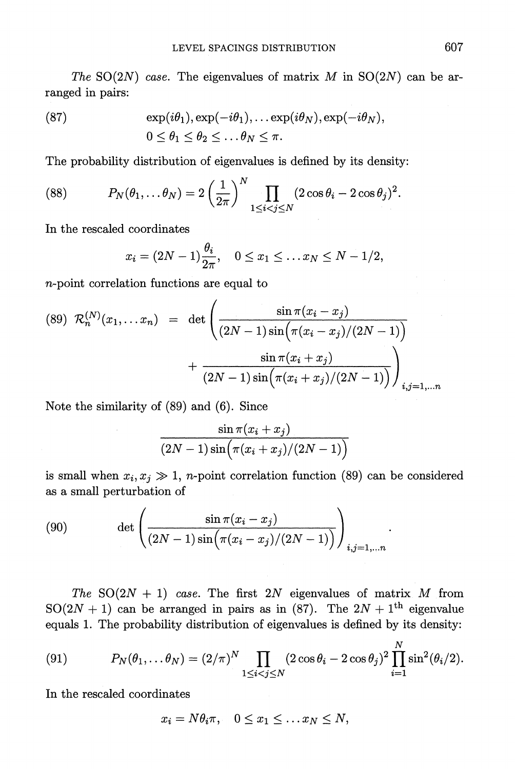The SO(2N) case. The eigenvalues of matrix M in SO(2N) can be arranged in pairs:

(87) 
$$
\exp(i\theta_1), \exp(-i\theta_1), \dots \exp(i\theta_N), \exp(-i\theta_N),
$$

$$
0 \le \theta_1 \le \theta_2 \le \dots \theta_N \le \pi.
$$

**The probability distribution of eigenvalues is defined by its density:** 

(88) 
$$
P_N(\theta_1,\ldots\theta_N)=2\left(\frac{1}{2\pi}\right)^N\prod_{1\leq i
$$

**In the rescaled coordinates** 

 $\sim$ 

$$
x_i = (2N-1)\frac{\theta_i}{2\pi}, \quad 0 \le x_1 \le \ldots x_N \le N-1/2,
$$

**n-point correlation functions are equal to** 

$$
(89) \ \mathcal{R}_n^{(N)}(x_1, \dots x_n) \ = \ \det \left( \frac{\sin \pi (x_i - x_j)}{(2N-1)\sin \left( \pi (x_i - x_j)/(2N-1) \right)} + \frac{\sin \pi (x_i + x_j)}{(2N-1)\sin \left( \pi (x_i + x_j)/(2N-1) \right)} \right)_{i,j=1,\dots n}
$$

**Note the similarity of (89) and (6). Since** 

$$
\frac{\sin\pi (x_i+x_j)}{(2N-1)\sin\Bigl(\pi (x_i+x_j)/(2N-1)\Bigr)}
$$

is small when  $x_i, x_j \gg 1$ , *n*-point correlation function (89) can be considered **as a small perturbation of** 

(90) 
$$
\det \left( \frac{\sin \pi (x_i - x_j)}{(2N-1)\sin(\pi (x_i - x_j)/(2N-1))} \right)_{i,j=1,...n}
$$

The SO(2N + 1) case. The first 2N eigenvalues of matrix M from SO(2N + 1) can be arranged in pairs as in (87). The  $2N + 1$ <sup>th</sup> eigenvalue equals 1. The probability distribution of eigenvalues is defined by its density:

(91) 
$$
P_N(\theta_1,\ldots\theta_N) = (2/\pi)^N \prod_{1 \leq i < j \leq N} (2\cos\theta_i - 2\cos\theta_j)^2 \prod_{i=1}^N \sin^2(\theta_i/2).
$$

**In the rescaled coordinates** 

$$
x_i = N\theta_i \pi, \quad 0 \le x_1 \le \ldots x_N \le N,
$$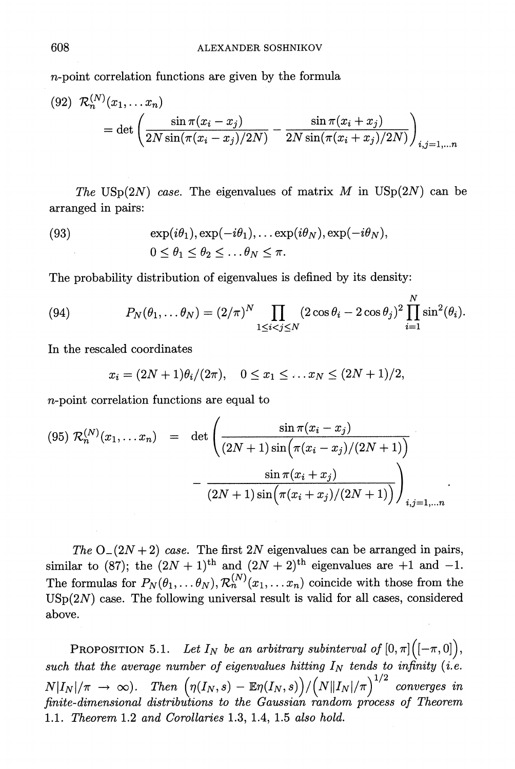**n-point correlation functions are given by the formula** 

(92) 
$$
\mathcal{R}_n^{(N)}(x_1, \dots, x_n) = \det \left( \frac{\sin \pi (x_i - x_j)}{2N \sin(\pi (x_i - x_j)/2N)} - \frac{\sin \pi (x_i + x_j)}{2N \sin(\pi (x_i + x_j)/2N)} \right)_{i,j=1,\dots n}
$$

The USp( $2N$ ) case. The eigenvalues of matrix M in  $\text{USp}(2N)$  can be arranged in pairs:

(93) 
$$
\exp(i\theta_1), \exp(-i\theta_1), \dots \exp(i\theta_N), \exp(-i\theta_N),
$$

$$
0 \le \theta_1 \le \theta_2 \le \dots \theta_N \le \pi.
$$

**The probability distribution of eigenvalues is defined by its density:** 

(94) 
$$
P_N(\theta_1, \ldots \theta_N) = (2/\pi)^N \prod_{1 \leq i < j \leq N} (2 \cos \theta_i - 2 \cos \theta_j)^2 \prod_{i=1}^N \sin^2(\theta_i).
$$

**In the rescaled coordinates** 

$$
x_i = (2N+1)\theta_i/(2\pi), \quad 0 \le x_1 \le \ldots x_N \le (2N+1)/2,
$$

**n-point correlation functions are equal to** 

$$
(95) \ \mathcal{R}_n^{(N)}(x_1, \dots x_n) \quad = \quad \det \left( \frac{\sin \pi (x_i - x_j)}{(2N+1)\sin \left( \pi (x_i - x_j)/(2N+1) \right)} - \frac{\sin \pi (x_i + x_j)}{(2N+1)\sin \left( \pi (x_i + x_j)/(2N+1) \right)} \right)_{i,j=1,\dots n}
$$

The  $O_-(2N+2)$  case. The first 2N eigenvalues can be arranged in pairs, similar to (87); the  $(2N + 1)$ <sup>th</sup> and  $(2N + 2)$ <sup>th</sup> eigenvalues are +1 and -1. The formulas for  $P_N(\theta_1, \ldots, \theta_N), \mathcal{R}_n^{(N)}(x_1, \ldots, x_n)$  coincide with those from the  $USp(2N)$  case. The following universal result is valid for all cases, considered **above.** 

**PROPOSITION** 5.1. Let  $I_N$  be an arbitrary subinterval of  $[0, \pi]$  $\left([- \pi, 0] \right)$ , such that the average number of eigenvalues hitting  $I_N$  tends to infinity (i.e.  $N|I_N|/\pi \to \infty$ ). Then  $(\eta(I_N, s) - \mathbb{E}\eta(I_N, s)) / (N||I_N|/\pi)^{1/2}$  converges in finite-dimensional distributions to the Gaussian random process of Theorem **1.1. Theorem 1.2 and Corollaries 1.3, 1.4, 1.5 also hold.**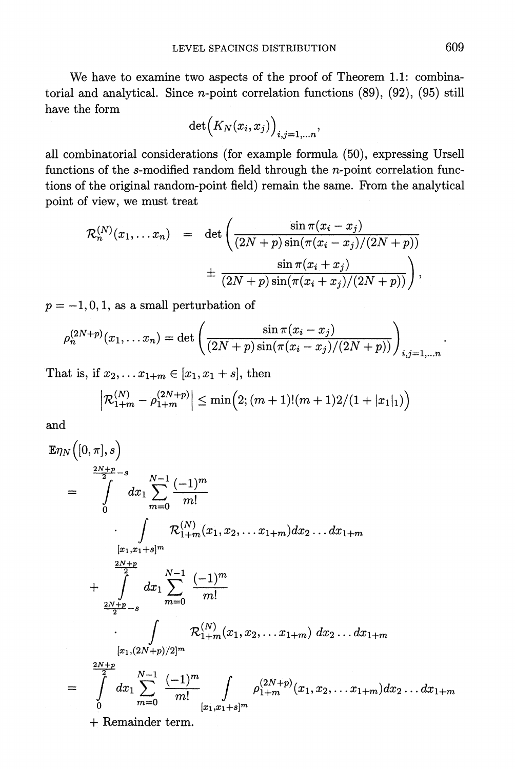**We have to examine two aspects of the proof of Theorem 1.1: combinatorial and analytical. Since n-point correlation functions (89), (92), (95) still have the form** 

$$
\det\Bigl(K_N(x_i,x_j)\Bigr)_{i,j=1,\ldots n},
$$

**all combinatorial considerations (for example formula (50), expressing Ursell functions of the s-modified random field through the n-point correlation functions of the original random-point field) remain the same. From the analytical point of view, we must treat** 

$$
\mathcal{R}_n^{(N)}(x_1,... x_n) = \det \left( \frac{\sin \pi (x_i - x_j)}{(2N+p)\sin(\pi (x_i - x_j)/(2N+p))} + \frac{\sin \pi (x_i + x_j)}{(2N+p)\sin(\pi (x_i + x_j)/(2N+p))} \right),
$$

 $p = -1, 0, 1$ , as a small perturbation of

$$
\rho_n^{(2N+p)}(x_1,...x_n) = \det\left(\frac{\sin \pi (x_i - x_j)}{(2N+p)\sin(\pi (x_i - x_j)/(2N+p))}\right)_{i,j=1,...n}
$$

That is, if  $x_2, \ldots x_{1+m} \in [x_1, x_1 + s]$ , then

$$
\left| \mathcal{R}^{(N)}_{1+m} - \rho^{(2N+p)}_{1+m} \right| \leq \min \Big( 2; (m+1)! (m+1) 2 / (1+ |x_1|_1) \Big)
$$

**and** 

$$
\mathbb{E}\eta_N([0,\pi],s)
$$
\n
$$
= \int_{0}^{\frac{2N+p}{2}-s} dx_1 \sum_{m=0}^{N-1} \frac{(-1)^m}{m!}
$$
\n
$$
\cdot \int_{[x_1,x_1+s]^m} \mathcal{R}^{(N)}_{1+m}(x_1,x_2,\ldots x_{1+m}) dx_2 \ldots dx_{1+m}
$$
\n
$$
+ \int_{\frac{2N+p}{2}-s}^{2N+p} dx_1 \sum_{m=0}^{N-1} \frac{(-1)^m}{m!}
$$
\n
$$
\cdot \int_{[x_1,(2N+p)/2]^m} \mathcal{R}^{(N)}_{1+m}(x_1,x_2,\ldots x_{1+m}) dx_2 \ldots dx_{1+m}
$$
\n
$$
= \int_{0}^{\frac{2N+p}{2}} dx_1 \sum_{m=0}^{N-1} \frac{(-1)^m}{m!} \int_{[x_1,x_1+s]^m} \rho_{1+m}^{(2N+p)}(x_1,x_2,\ldots x_{1+m}) dx_2 \ldots dx_{1+m}
$$
\n+ Remainder term.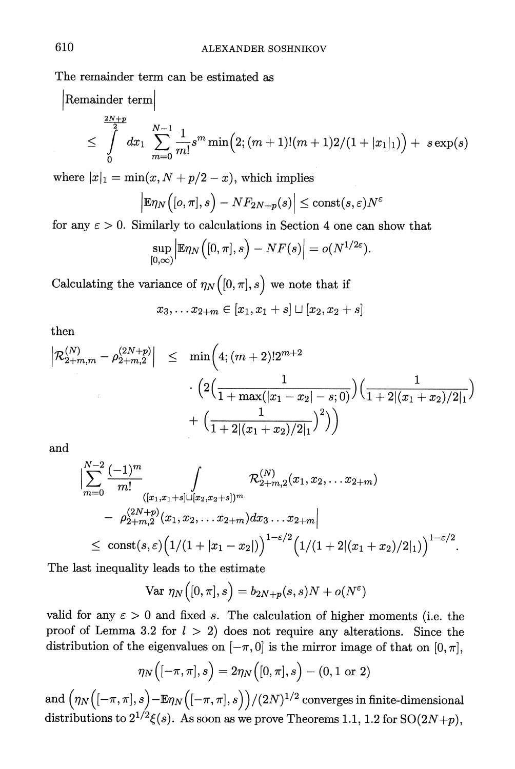**The remainder term can be estimated as** 

$$
\begin{array}{l}\n\text{Remainder term} \\
\leq \int\limits_{0}^{\frac{2N+p}{2}} dx_1 \sum\limits_{m=0}^{N-1} \frac{1}{m!} s^m \min \Bigl( 2; (m+1)! (m+1) 2/(1+|x_1|_1) \Bigr) + \ s \exp(s)\n\end{array}
$$

where  $|x|_1 = \min(x, N + p/2 - x)$ , which implies

$$
\left|\mathbb{E}\eta_N\big([o,\pi],s\big)-NF_{2N+p}(s)\right|\leq \mathrm{const}(s,\varepsilon)N^{\varepsilon}
$$

for any  $\epsilon > 0$ . Similarly to calculations in Section 4 one can show that

$$
\sup_{[0,\infty)} \Big| \mathbb{E} \eta_N \Big( [0,\pi],s \Big) - NF(s) \Big| = o(N^{1/2\varepsilon})
$$

Calculating the variance of  $\eta_N([0, \pi], s)$  we note that if

$$
x_3,\ldots x_{2+m}\in [x_1,x_1+s]\sqcup [x_2,x_2+s]
$$

**then** 

$$
\begin{array}{rcl} \left| \mathcal{R}_{2+m,m}^{(N)} - \rho_{2+m,2}^{(2N+p)} \right| & \leq & \min \biggl( 4; (m+2)! 2^{m+2} \\ & \qquad \qquad \cdot \Bigl( 2 \Bigl( \frac{1}{1 + \max(|x_1 - x_2| - s; 0)} \Bigr) \Bigl( \frac{1}{1 + 2 |(x_1 + x_2)/2|_1} \Bigr) \\ & \qquad \qquad + \Bigl( \frac{1}{1 + 2 |(x_1 + x_2)/2|_1} \Bigr)^2 \Bigr) \Bigl) \end{array}
$$

**and** 

$$
\begin{aligned}&\left|\sum_{m=0}^{N-2}\frac{(-1)^m}{m!}\int\limits_{([x_1,x_1+s]\sqcup [x_2,x_2+s])^m}\mathcal{R}^{(N)}_{2+m,2}(x_1,x_2,\dots x_{2+m})\right.\\&\left.-\left.\rho^{(2N+p)}_{2+m,2}(x_1,x_2,\dots x_{2+m})dx_3\dots x_{2+m}\right|\right.\\&\left.\leq\;\cosh(s,\varepsilon)\Big(1/(1+|x_1-x_2|)\Big)^{1-\varepsilon/2}\Big(1/(1+2|(x_1+x_2)/2|_1)\Big)^{1-\varepsilon/2}.\end{aligned}
$$

**The last inequality leads to the estimate** 

$$
\text{Var }\eta_N\Big([0,\pi],s\Big)=b_{2N+p}(s,s)N+o(N^{\varepsilon})
$$

valid for any  $\epsilon > 0$  and fixed s. The calculation of higher moments (i.e. the proof of Lemma 3.2 for  $l > 2$ ) does not require any alterations. Since the distribution of the eigenvalues on  $[-\pi, 0]$  is the mirror image of that on  $[0, \pi]$ ,

$$
\eta_N\Big([-\pi,\pi],s\Big)=2\eta_N\Big([0,\pi],s\Big)-(0,1\;\text{or}\;2)
$$

 $\mathbf{End}\left(\eta_N\big([-\pi,\pi],s\big)\!-\!\mathbb{E}\eta_N\big([-\pi,\pi],s\big)\big)/(2N)^{1/2} \text{ converges in finite-dimensional } \mathbb{E}\left(\eta_N\big([-\pi,\pi],s\big)\right)$  $\text{distributions to } 2^{1/2}\xi(s). \text{ As soon as we prove Theorems 1.1, 1.2 for SO(2N+p),\$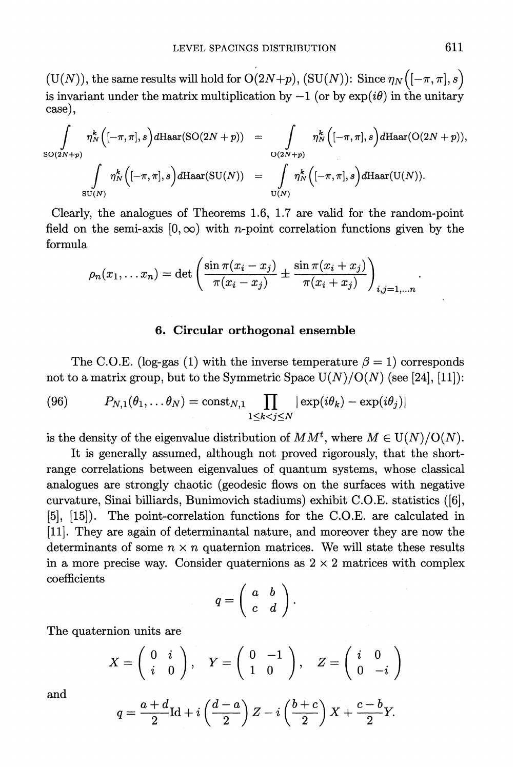$(U(N))$ , the same results will hold for  $O(2N+p)$ ,  $(SU(N))$ : Since  $\eta_N\bigl( [-\pi,\pi], s \bigr)$ is invariant under the matrix multiplication by  $-1$  (or by  $\exp(i\theta)$  in the unitary **case),** 

$$
\int_{SO(2N+p)} \eta_N^k \Big( [-\pi,\pi],s \Big) d\text{Haar}(SO(2N+p)) = \int_{O(2N+p)} \eta_N^k \Big( [-\pi,\pi],s \Big) d\text{Haar}(O(2N+p)),
$$
  

$$
\int_{SU(N)} \eta_N^k \Big( [-\pi,\pi],s \Big) d\text{Haar}(SU(N)) = \int_{U(N)} \eta_N^k \Big( [-\pi,\pi],s \Big) d\text{Haar}(U(N)).
$$

**Clearly, the analogues of Theorems 1.6, 1.7 are valid for the random-point**  field on the semi-axis  $[0, \infty)$  with *n*-point correlation functions given by the **formula** 

$$
\rho_n(x_1,... x_n) = \det \left( \frac{\sin \pi (x_i - x_j)}{\pi (x_i - x_j)} \pm \frac{\sin \pi (x_i + x_j)}{\pi (x_i + x_j)} \right)_{i,j=1,...n}
$$

#### **6. Ciroular orthogonal ensemble**

The C.O.E. (log-gas (1) with the inverse temperature  $\beta = 1$ ) corresponds not to a matrix group, but to the Symmetric Space  $U(N)/O(N)$  (see [24], [11]):

(96) 
$$
P_{N,1}(\theta_1,\ldots\theta_N)=\text{const}_{N,1}\prod_{1\leq k
$$

is the density of the eigenvalue distribution of  $MM<sup>t</sup>$ , where  $M \in U(N)/O(N)$ .

**It is generally assumed, although not proved rigorously, that the shortrange correlations between eigenvalues of quantum systems, whose classical analogues are strongly chaotic (geodesic flows on the surfaces with negative curvature, Sinai billiards, Bunimovich stadiums) exhibit C.O.E. statistics ([6], [5], [15]). The point-correlation functions for the C.O.E. are calculated in [11]. They are again of determinantal nature, and moreover they are now the**  determinants of some  $n \times n$  quaternion matrices. We will state these results in a more precise way. Consider quaternions as  $2 \times 2$  matrices with complex **coefficients** 

$$
q = \left(\begin{array}{cc} a & b \\ c & d \end{array}\right).
$$

**The quaternion units are** 

$$
X = \left(\begin{array}{cc} 0 & i \\ i & 0 \end{array}\right), \quad Y = \left(\begin{array}{cc} 0 & -1 \\ 1 & 0 \end{array}\right), \quad Z = \left(\begin{array}{cc} i & 0 \\ 0 & -i \end{array}\right)
$$

**and** 

$$
q = \frac{a+d}{2}\mathrm{Id} + i\left(\frac{d-a}{2}\right)Z - i\left(\frac{b+c}{2}\right)X + \frac{c-b}{2}Y.
$$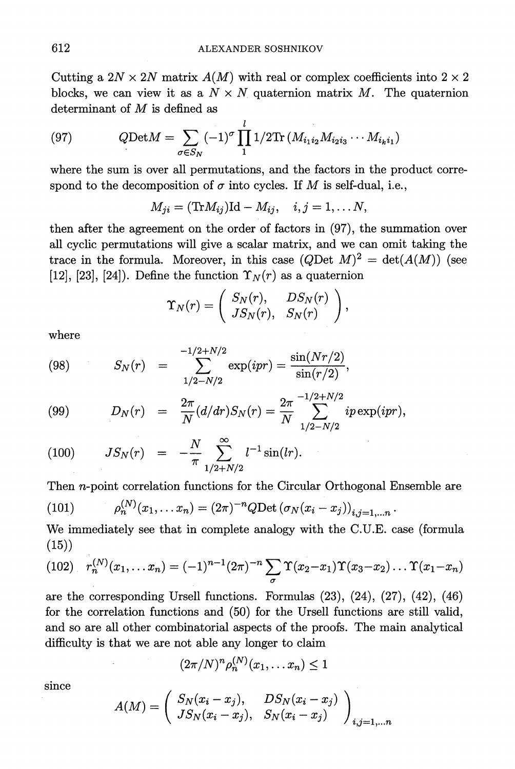Cutting a  $2N \times 2N$  matrix  $A(M)$  with real or complex coefficients into  $2 \times 2$ blocks, we can view it as a  $N \times N$  quaternion matrix M. The quaternion **determinant of M is defined as** 

(97) 
$$
Q\text{Det}M = \sum_{\sigma \in S_N} (-1)^{\sigma} \prod_{1}^{l} 1/2 \text{Tr} (M_{i_1 i_2} M_{i_2 i_3} \cdots M_{i_k i_1})
$$

**where the sum is over all permutations, and the factors in the product corre**spond to the decomposition of  $\sigma$  into cycles. If M is self-dual, i.e.,

$$
M_{ji} = (Tr M_{ij}) \mathrm{Id} - M_{ij}, \quad i, j = 1, \ldots N,
$$

then after the agreement on the order of factors in  $(97)$ , the summation over **all cyclic permutations will give a scalar matrix, and we can omit taking the**  trace in the formula. Moreover, in this case  $(Q$ Det  $M)^2 = det(A(M))$  (see [12], [23], [24]). Define the function  $\Upsilon_N(r)$  as a quaternion

$$
\Upsilon_N(r)=\left(\begin{array}{cc}S_N(r),&DS_N(r)\\JS_N(r),&S_N(r)\end{array}\right),
$$

**-1/2+N/2** 

**where** 

(98) 
$$
S_N(r) = \sum_{1/2-N/2}^{-1/2+N/2} \exp(ipr) = \frac{\sin(Nr/2)}{\sin(r/2)},
$$

(99) 
$$
D_N(r) = \frac{2\pi}{N} (d/dr) S_N(r) = \frac{2\pi}{N} \sum_{1/2 - N/2}^{-1/2 + N/2} i p \exp(i p r),
$$

(100) 
$$
JS_N(r) = -\frac{N}{\pi} \sum_{1/2+N/2}^{\infty} l^{-1} \sin(lr).
$$

**Then n-point correlation functions for the Circular Orthogonal Ensemble are** 

(101) 
$$
\rho_n^{(N)}(x_1,...x_n) = (2\pi)^{-n} Q \text{Det} (\sigma_N (x_i - x_j))_{i,j=1,...n}
$$

**We immediately see that in complete analogy with the C.U.E. case (formula (15))** 

(102) 
$$
r_n^{(N)}(x_1,...x_n) = (-1)^{n-1} (2\pi)^{-n} \sum_{\sigma} \Upsilon(x_2-x_1) \Upsilon(x_3-x_2) ... \Upsilon(x_1-x_n)
$$

**are the corresponding Ursell functions. Formulas (23), (24), (27), (42), (46) for the correlation functions and (50) for the Ursell functions are still valid, and so are all other combinatorial aspects of the proofs. The main analytical difficulty is that we are not able any longer to claim** 

$$
(2\pi/N)^n \rho_n^{(N)}(x_1,\ldots x_n) \leq 1
$$

**slnce** 

$$
A(M) = \left(\begin{array}{cc} S_N(x_i - x_j), & DS_N(x_i - x_j) \\ JS_N(x_i - x_j), & S_N(x_i - x_j) \end{array}\right)_{i,j=1,...n}
$$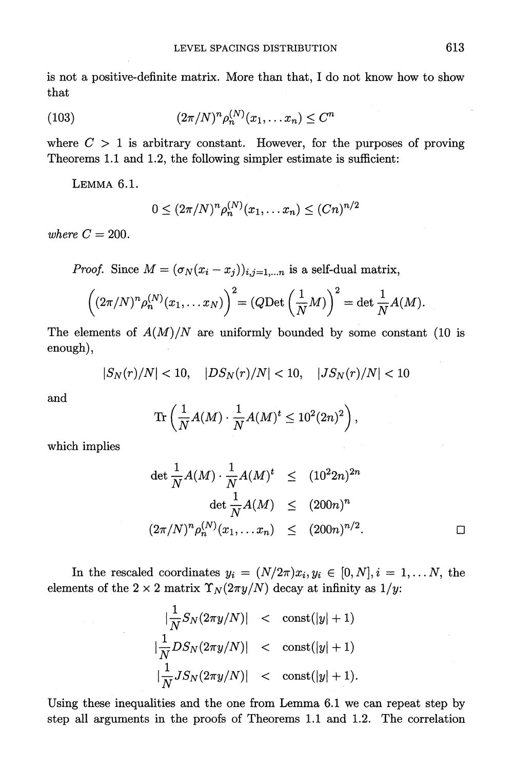**is not a positive-definite matrix. More than that, I do not know how to show that** 

(103) 
$$
(2\pi/N)^n \rho_n^{(N)}(x_1, \dots x_n) \le C^n
$$

where  $C > 1$  is arbitrary constant. However, for the purposes of proving **Theorems 1.1 and 1.2, the following simpler estimate is sufficient:** 

**LEMMA 6.1.** 

$$
0 \le (2\pi/N)^n \rho_n^{(N)}(x_1, \dots x_n) \le (Cn)^{n/2}
$$

where  $C = 200$ .

**Proof.** Since  $M = (\sigma_N(x_i - x_j))_{i,j=1,\dots,n}$  is a self-dual matrix,

$$
\left((2\pi/N)^n\rho_n^{(N)}(x_1,\ldots x_N)\right)^2 = (Q\mathrm{Det}\left(\frac{1}{N}M\right))^2 = \det\frac{1}{N}A(M).
$$

The elements of  $A(M)/N$  are uniformly bounded by some constant (10 is **enough),** 

$$
|S_N(r)/N| < 10, \quad |DS_N(r)/N| < 10, \quad |JS_N(r)/N| < 10
$$

**and** 

$$
\text{Tr}\left(\frac{1}{N}A(M)\cdot\frac{1}{N}A(M)^t\leq 10^2(2n)^2\right),\,
$$

**which implies** 

$$
\det \frac{1}{N} A(M) \cdot \frac{1}{N} A(M)^t \leq (10^2 2n)^{2n}
$$
  

$$
\det \frac{1}{N} A(M) \leq (200n)^n
$$
  

$$
(2\pi/N)^n \rho_n^{(N)}(x_1, \dots x_n) \leq (200n)^{n/2}.
$$

In the rescaled coordinates  $y_i = (N/2\pi)x_i, y_i \in [0, N], i = 1, \ldots N$ , the elements of the  $2 \times 2$  matrix  $\Upsilon_N(2\pi y/N)$  decay at infinity as  $1/y$ .

$$
\begin{array}{rcl}\n|\frac{1}{N}S_N(2\pi y/N)| < & \text{const}(|y|+1) \\
|\frac{1}{N}DS_N(2\pi y/N)| < & \text{const}(|y|+1) \\
|\frac{1}{N}JS_N(2\pi y/N)| < & \text{const}(|y|+1).\n\end{array}
$$

**Using these inequalities and the one from Lemma 6.1 we can repeat step by step all arguments in the proofs of Theorems 1.1 and 1.2. The correlation**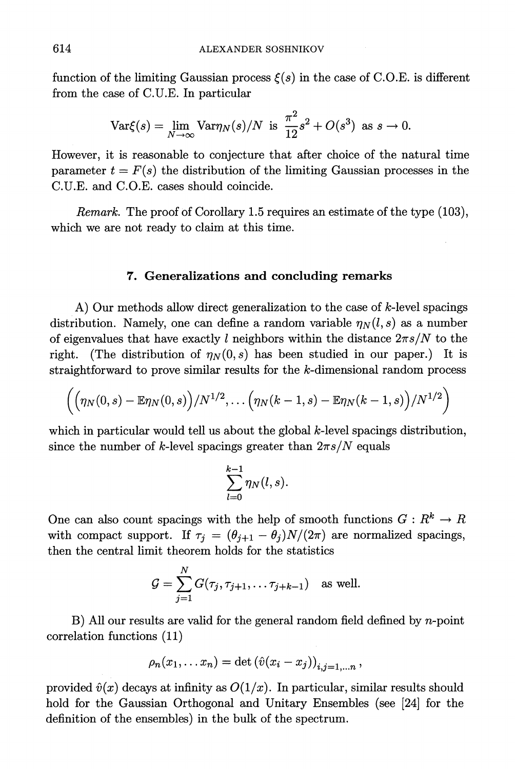function of the limiting Gaussian process  $\xi(s)$  in the case of C.O.E. is different **from the case of C.U.E. In particular** 

$$
\text{Var}\xi(s) = \lim_{N \to \infty} \text{Var}\eta_N(s)/N \text{ is } \frac{\pi^2}{12}s^2 + O(s^3) \text{ as } s \to 0.
$$

**However, it is reasonable to conjecture that after choice of the natural time parameter**  $t = F(s)$  the distribution of the limiting Gaussian processes in the **C.U.E. and C.O.E. cases should coincide.** 

**Remark. The proof of Corollary 1.5 requires an estimate of the type (103), which we are not ready to claim at this time.** 

#### **7. Generalizations and concluding remarks**

**A) Our methods allow direct generalization to the case of k-level spacings**  distribution. Namely, one can define a random variable  $\eta_N(l,s)$  as a number of eigenvalues that have exactly l neighbors within the distance  $2\pi s/N$  to the right. (The distribution of  $\eta_N(0,s)$  has been studied in our paper.) It is **straightforward to prove similar results for the k-dimensional random process** 

$$
\left(\Big(\eta_N(0,s)-\mathbb{E}\eta_N(0,s)\Big)/N^{1/2},\ldots\Big(\eta_N(k-1,s)-\mathbb{E}\eta_N(k-1,s)\Big)/N^{1/2}\right)
$$

which in particular would tell us about the global k-level spacings distribution, since the number of k-level spacings greater than  $2\pi s/N$  equals

$$
\sum_{l=0}^{k-1} \eta_N(l,s).
$$

One can also count spacings with the help of smooth functions  $G: R^k \to R$ with compact support. If  $\tau_i = (\theta_{i+1} - \theta_i)N/(2\pi)$  are normalized spacings, **then the central limit theorem holds for the statistics** 

$$
\mathcal{G} = \sum_{j=1}^N G(\tau_j, \tau_{j+1}, \dots \tau_{j+k-1})
$$
 as well.

**B) All our results are valid for the general random field defined by n-point correlation functions (11)** 

$$
\rho_n(x_1,\ldots x_n)=\det\left(\hat{v}(x_i-x_j)\right)_{i,j=1,\ldots,n},
$$

provided  $\hat{v}(x)$  decays at infinity as  $O(1/x)$ . In particular, similar results should **hold for the Gaussian Orthogonal and Unitary Ensembles (see [24] for the definition of the ensembles) in the bulk of the spectrum.**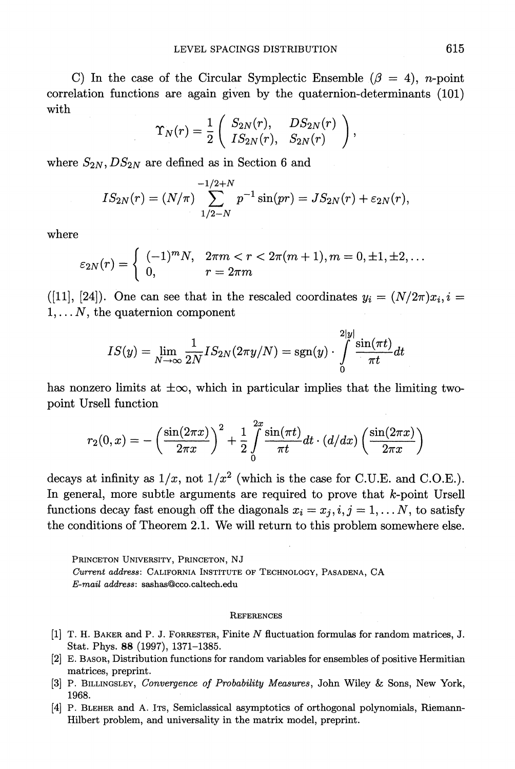C) In the case of the Circular Symplectic Ensemble  $(\beta = 4)$ , *n*-point **correlation functions are again given by the quaternion-determinants (101) with** 

$$
\Upsilon_N(r) = \frac{1}{2} \left( \begin{array}{cc} S_{2N}(r), & DS_{2N}(r) \\ IS_{2N}(r), & S_{2N}(r) \end{array} \right),
$$

where  $S_{2N}$ ,  $DS_{2N}$  are defined as in Section 6 and

$$
IS_{2N}(r)=(N/\pi)\sum_{1/2-N}^{-1/2+N}p^{-1}\sin(pr)=JS_{2N}(r)+\varepsilon_{2N}(r),
$$

**where** 

where  
\n
$$
\varepsilon_{2N}(r) = \begin{cases}\n(-1)^m N, & 2\pi m < r < 2\pi (m+1), m = 0, \pm 1, \pm 2, \dots \\
0, & r = 2\pi m\n\end{cases}
$$

([11], [24]). One can see that in the rescaled coordinates  $y_i = (N/2\pi)x_i, i =$  $1, \ldots, N$ , the quaternion component

$$
IS(y)=\lim_{N\to\infty}\frac{1}{2N}IS_{2N}(2\pi y/N)=\operatorname{sgn}(y)\cdot\int\limits_{0}^{2|y|}\frac{\sin(\pi t)}{\pi t}dt
$$

has nonzero limits at  $\pm \infty$ , which in particular implies that the limiting two**point Ursell function** 

$$
r_2(0,x) = -\left(\frac{\sin(2\pi x)}{2\pi x}\right)^2 + \frac{1}{2}\int\limits_0^{2x} \frac{\sin(\pi t)}{\pi t} dt \cdot (d/dx) \left(\frac{\sin(2\pi x)}{2\pi x}\right)
$$

decays at infinity as  $1/x$ , not  $1/x^2$  (which is the case for C.U.E. and C.O.E.). decays at infinity as  $1/x$ , not  $1/x^2$  (which is the case for C.U.E. and C.O.E. In general, more subtle arguments are required to prove that *k*-point Urse In general, more subtle arguments are required to prove that *k*-point Urse functions decay fast enough off the diagonals  $x_i = x_j, i, j = 1, ... N$ , to satisfy In general, more shorte arguments are required to prove that  $\kappa$ -point orse<br>functions decay fast enough off the diagonals  $x_i = x_j, i, j = 1, \dots N$ , to satisf<br>the conditions of Theorem 2.1. We will return to this problem somew

**PRINCETON UNIVERSITY, PRINCETON, NJ Current address: CALIFORNIA INSTITUTE OF TECHNOLOGY, PASADENA, CA E-mail address: sashas(Bcco.caltech.edu** 

- **[1] T. H. BAKER and P. J. FORRESTER, Finite N fluctuation formulas for random matrices, J. Stat. Phys. 88 (1997), 1371-1385.**
- **[2] E. BASOR, Distribution functions for random variables for ensembles of positive Hermitian matrices, preprint.**
- [3] P. BILLINGSLEY, *Convergence of Probability Measures*, John Wiley & Sons, New York, **1968.**  [3] P. BILLINGSLEY, *Convergence of Probability Measures*, John Wiley & Sons, New York,<br>1968.<br>[4] P. BLEHER and A. Its, Semiclassical asymptotics of orthogonal polynomials, Riemann-
- госо.<br>Р. Вьенев and A. Iтs, Semiclassical asymptotics of orthogonal p<br>Hilbert problem, and universality in the matrix model, preprint.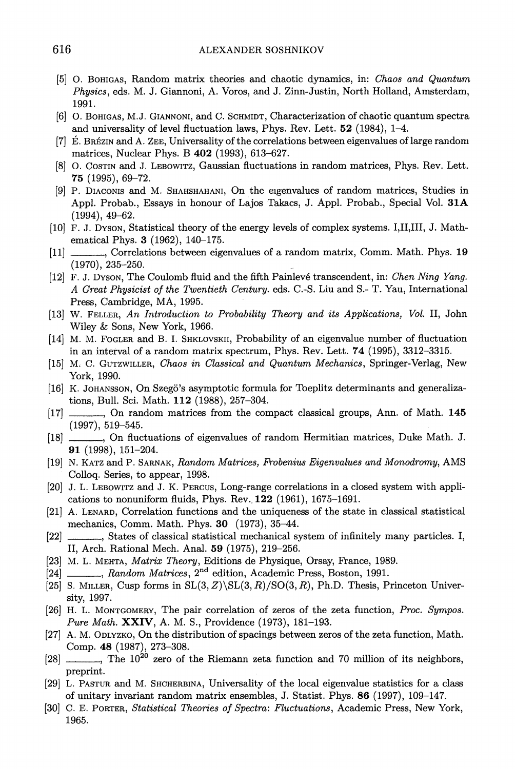- **[5] 0. BOHIGAS, Random matrix theories and chaotic dynamics, in: Chaos and Quantum Physics, eds. M. J. Giannoni, A. Voros, and J. Zinn-Justin, North Holland, Amsterdam, 1991.**
- **[6] 0. BOHIGAS, M.J. GIANNONI, and C. SCHMIDT, Characterization of chaotic quantum spectra and universality of level fluctuation laws, Phys. Rev. Lett. 52 (1984), 1-4.**
- **[7] E. BREIZIN and A. ZEE, Universality of the correlations between eigenvalues of large random matrices, Nuclear Phys. B 402 (1993), 613-627.**
- **[8] 0. COSTIN and J. LEBOWITZ, Gaussian fluctuations in random matrices, Phys. Rev. Lett. 75 (1995), 69-72.**
- **[9] P. DIACONIs and M. SHAHSHAHANI, On the eigenvalues of random matrices, Studies in Appl. Probab., Essays in honour of Lajos Takacs, J. Appl. Probab., Special Vol. 31A (1994), 49-62.**
- **[10] F. J. DYSON, Statistical theory of the energy levels of complex systems. I,II,III, J. Mathematical Phys. 3 (1962), 140-175.**
- **[11] X Correlations between eigenvalues of a random matrix, Comm. Math. Phys. 19 (1970), 235-250.**
- **[12] F. J. DYSON, The Coulomb fluid and the fifth Painleve transcendent, in: Chen Ning Yang. A Great Physicist of the Twentieth Century. eds. C.-S. Liu and S.- T. Yau, International Press, Cambridge, MA, 1995.**
- **[13] W. FELLER, An Introduction to Probability Theory and its Applications, Vol. II, John Wiley & Sons, New York, 1966.**
- **[14] M. M. FOGLER and B. I. SHKLOVSKII, Probability of an eigenvalue number of fluctuation in an interval of a random matrix spectrum, Phys. Rev. Lett. 74 (1995), 3312-3315.**
- **[15] M. C. GUTZWILLER, Chaos in Classical and Quantum Mechanics, Springer-Verlag, New York, 1990.**
- **[16] K. JOHANSSON, On Szeg6's asymptotic formula for Toeplitz determinants and generalizations, Bull. Sci. Math. 112 (1988), 257-304.**
- **[17] , On random matrices from the compact classical groups, Ann. of Math. 145 (1997), 519-545.**
- **[18] , On fluctuations of eigenvalues of random Hermitian matrices, Duke Math. J. 91 (1998), 151-204.**
- **[19] N. KATZ and P. SARNAK, Random Matrices, Frobenius Eigenvalues and Monodromy, AMS Colloq. Series, to appear, 1998.**
- **[20] J. L. LEBOWITZ and J. K. PERCUS, Long-range correlations in a closed system with applications to nonuniform fluids, Phys. Rev.. 122 (1961), 1675-1691.**
- **[21] A. LENARD, Correlation functions and the uniqueness of the state in classical statistical mechanics, Comm. Math. Phys. 30 (1973), 35-44.**
- **[22] , States of classical statistical mechanical system of infinitely many particles. I, II, Arch. Rational Mech. Anal. 59 (1975), 219-256.**
- **[23] M. L. MEHTA, Matrix Theory, Editions de Physique, Orsay, France, 1989.**
- **[24] , Random Matrices, 2nd edition, Academic Press, Boston, 1991.**
- $[25]$  S. MILLER, Cusp forms in  $SL(3, Z)\SL(3, R)/SO(3, R)$ , Ph.D. Thesis, Princeton Univer**sity, 1997.**
- **[26] H. L. MONTGOMERY, The pair correlation of zeros of the zeta function, Proc. Sympos. Pure Math. XXIV, A. M. S., Providence (1973), 181-193.**
- **[27] A. M. ODLYZKO, On the distribution of spacings between zeros of the zeta function, Math. Comp. 48 (1987), 273-308.**
- **[28] , The 1020 zero of the Riemann zeta function and 70 million of its neighbors, preprint.**
- **[29] L. PASTUR and M. SHCHERBINA, Universality of the local eigenvalue statistics for a class of unitary invariant random matrix ensembles, J. Statist. Phys. 86 (1997), 109-147.**
- **[30] C. E. PORTER, Statistical Theories of Spectra: Fluctuations, Academic Press, New York, 1965.**